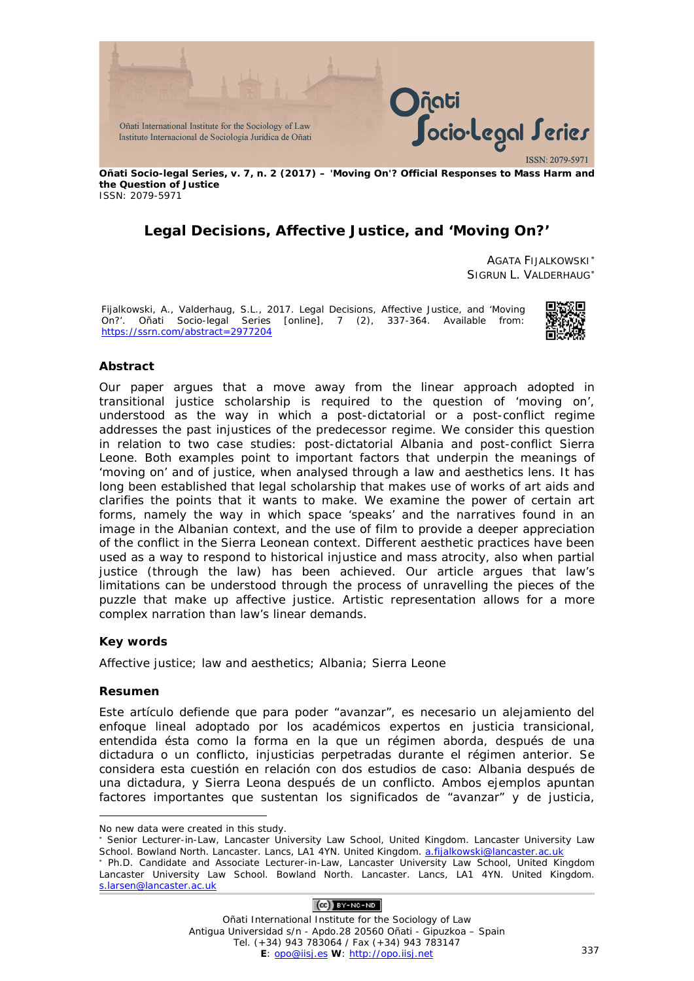

**Oñati Socio-legal Series, v. 7, n. 2 (2017) – 'Moving On'? Official Responses to Mass Harm and the Question of Justice** ISSN: 2079-5971

# **Legal Decisions, Affective Justice, and 'Moving On?'**

AGATA FIJALKOWSKI[∗](#page-0-0) SIGRUN L. VALDERHAUG[∗](#page-0-1)

Fijalkowski, A., Valderhaug, S.L., 2017. Legal Decisions, Affective Justice, and 'Moving On?'. *Oñati Socio-legal Series* [online], 7 (2), 337-364. Available from: <https://ssrn.com/abstract=2977204>



#### **Abstract**

Our paper argues that a move away from the linear approach adopted in transitional justice scholarship is required to the question of 'moving on', understood as the way in which a post-dictatorial or a post-conflict regime addresses the past injustices of the predecessor regime. We consider this question in relation to two case studies: post-dictatorial Albania and post-conflict Sierra Leone. Both examples point to important factors that underpin the meanings of 'moving on' and of justice, when analysed through a law and aesthetics lens. It has long been established that legal scholarship that makes use of works of art aids and clarifies the points that it wants to make. We examine the power of certain art forms, namely the way in which space 'speaks' and the narratives found in an image in the Albanian context, and the use of film to provide a deeper appreciation of the conflict in the Sierra Leonean context. Different aesthetic practices have been used as a way to respond to historical injustice and mass atrocity, also when partial justice (through the law) has been achieved. Our article argues that law's limitations can be understood through the process of unravelling the pieces of the puzzle that make up affective justice. Artistic representation allows for a more complex narration than law's linear demands.

#### **Key words**

Affective justice; law and aesthetics; Albania; Sierra Leone

#### **Resumen**

-

Este artículo defiende que para poder "avanzar", es necesario un alejamiento del enfoque lineal adoptado por los académicos expertos en justicia transicional, entendida ésta como la forma en la que un régimen aborda, después de una dictadura o un conflicto, injusticias perpetradas durante el régimen anterior. Se considera esta cuestión en relación con dos estudios de caso: Albania después de una dictadura, y Sierra Leona después de un conflicto. Ambos ejemplos apuntan factores importantes que sustentan los significados de "avanzar" y de justicia,

#### $(O<sub>0</sub>)$  BY-NC-ND

<span id="page-0-0"></span>No new data were created in this study.

<sup>∗</sup> Senior Lecturer-in-Law, Lancaster University Law School, United Kingdom. Lancaster University Law School. Bowland North. Lancaster. Lancs, LA1 4YN. United Kingdom[. a.fijalkowski@lancaster.ac.uk](mailto:a.fijalkowski@lancaster.ac.uk)

<span id="page-0-1"></span><sup>∗</sup> Ph.D. Candidate and Associate Lecturer-in-Law, Lancaster University Law School, United Kingdom Lancaster University Law School. Bowland North. Lancaster. Lancs, LA1 4YN. United Kingdom. [s.larsen@lancaster.ac.uk](mailto:s.larsen@lancaster.ac.uk)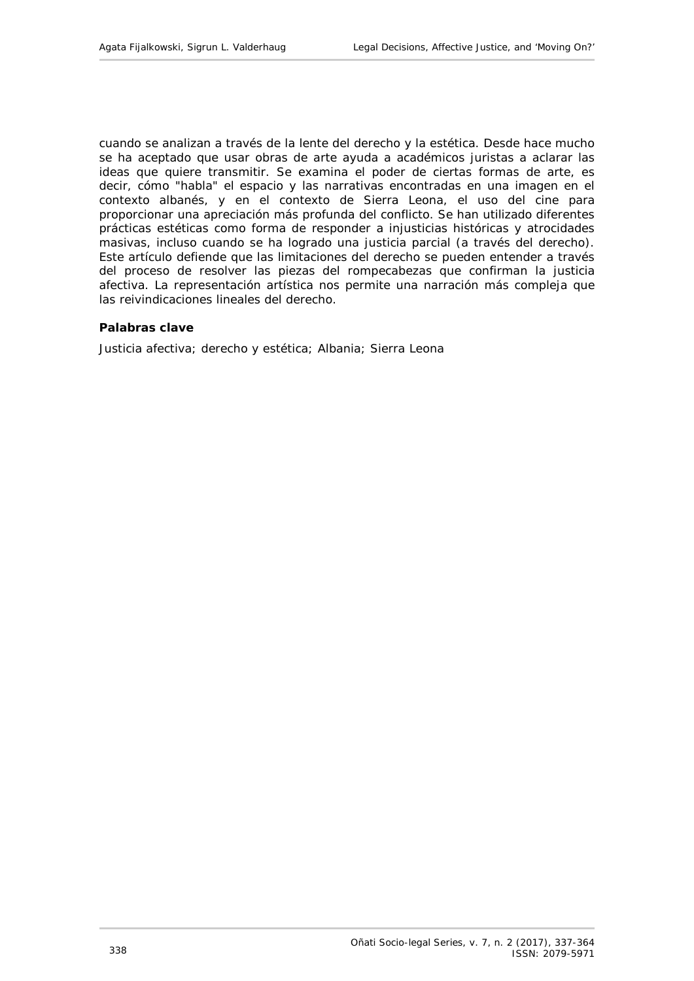cuando se analizan a través de la lente del derecho y la estética. Desde hace mucho se ha aceptado que usar obras de arte ayuda a académicos juristas a aclarar las ideas que quiere transmitir. Se examina el poder de ciertas formas de arte, es decir, cómo "habla" el espacio y las narrativas encontradas en una imagen en el contexto albanés, y en el contexto de Sierra Leona, el uso del cine para proporcionar una apreciación más profunda del conflicto. Se han utilizado diferentes prácticas estéticas como forma de responder a injusticias históricas y atrocidades masivas, incluso cuando se ha logrado una justicia parcial (a través del derecho). Este artículo defiende que las limitaciones del derecho se pueden entender a través del proceso de resolver las piezas del rompecabezas que confirman la justicia afectiva. La representación artística nos permite una narración más compleja que las reivindicaciones lineales del derecho.

#### **Palabras clave**

Justicia afectiva; derecho y estética; Albania; Sierra Leona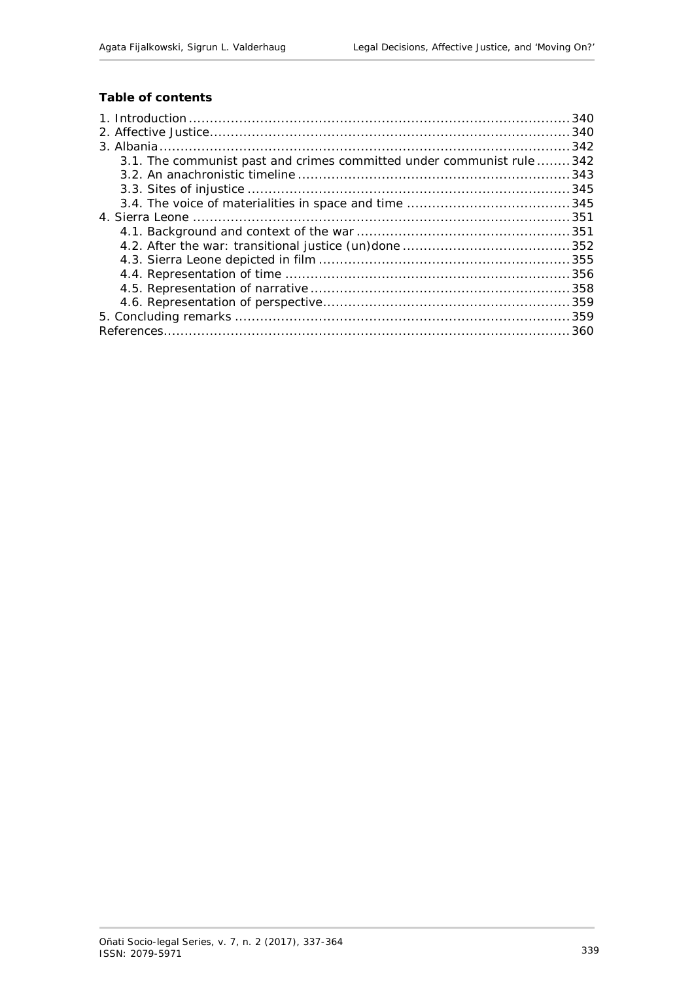# **Table of contents**

| 3.1. The communist past and crimes committed under communist rule  342 |  |
|------------------------------------------------------------------------|--|
|                                                                        |  |
|                                                                        |  |
|                                                                        |  |
|                                                                        |  |
|                                                                        |  |
|                                                                        |  |
|                                                                        |  |
|                                                                        |  |
|                                                                        |  |
|                                                                        |  |
|                                                                        |  |
|                                                                        |  |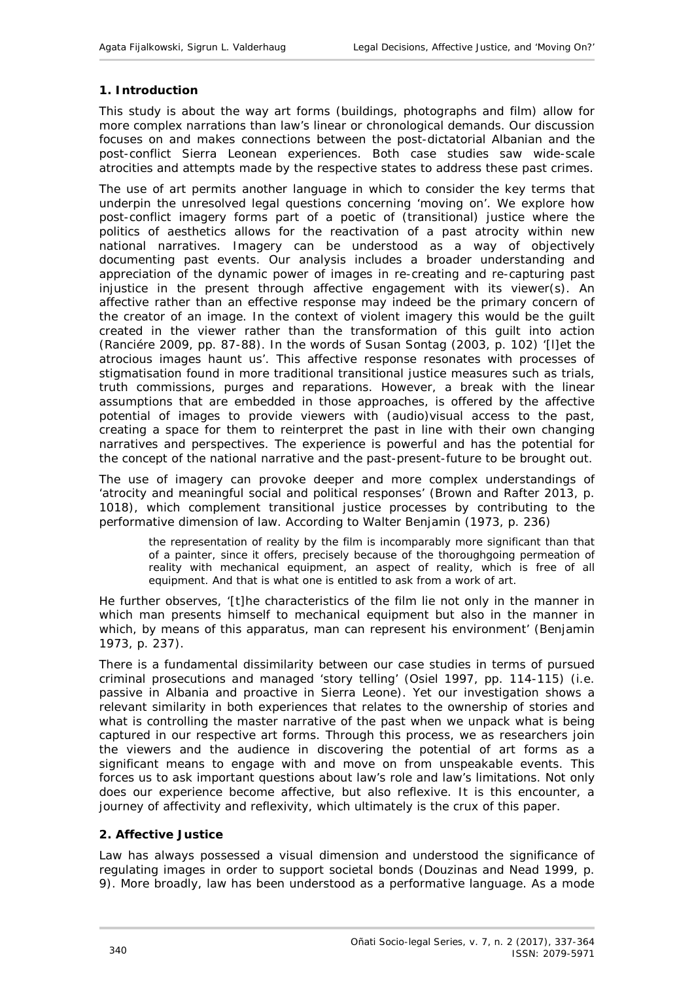# <span id="page-3-0"></span>**1. Introduction**

This study is about the way art forms (buildings, photographs and film) allow for more complex narrations than law's linear or chronological demands. Our discussion focuses on and makes connections between the post-dictatorial Albanian and the post-conflict Sierra Leonean experiences. Both case studies saw wide-scale atrocities and attempts made by the respective states to address these past crimes.

The use of art permits another language in which to consider the key terms that underpin the unresolved legal questions concerning 'moving on'. We explore how post-conflict imagery forms part of a poetic of (transitional) justice where the politics of aesthetics allows for the reactivation of a past atrocity within new national narratives. Imagery can be understood as a way of objectively documenting past events. Our analysis includes a broader understanding and appreciation of the dynamic power of images in *re*-creating and *re*-capturing past injustice in the present through affective engagement with its viewer(s). An *affective* rather than an effective response may indeed be the primary concern of the creator of an image. In the context of violent imagery this would be the guilt created in the viewer rather than the transformation of this guilt into action (Ranciére 2009, pp. 87-88). In the words of Susan Sontag (2003, p. 102) '[l]et the atrocious images haunt us'. This affective response resonates with processes of stigmatisation found in more traditional transitional justice measures such as trials, truth commissions, purges and reparations. However, a break with the linear assumptions that are embedded in those approaches, is offered by the affective potential of images to provide viewers with (audio)visual access to the past, creating a space for them to reinterpret the past in line with their own changing narratives and perspectives. The experience is powerful and has the potential for the concept of the national narrative and the past-present-future to be brought out.

The use of imagery can provoke deeper and more complex understandings of 'atrocity and meaningful social and political responses' (Brown and Rafter 2013, p. 1018), which complement transitional justice processes by contributing to the performative dimension of law. According to Walter Benjamin (1973, p. 236)

the representation of reality by the film is incomparably more significant than that of a painter, since it offers, precisely because of the thoroughgoing permeation of reality with mechanical equipment, an aspect of reality, which is free of all equipment. And that is what one is entitled to ask from a work of art.

He further observes, '[t]he characteristics of the film lie not only in the manner in which man presents himself to mechanical equipment but also in the manner in which, by means of this apparatus, man can represent his environment' (Benjamin 1973, p. 237).

There is a fundamental dissimilarity between our case studies in terms of pursued criminal prosecutions and managed 'story telling' (Osiel 1997, pp. 114-115) (i.e. passive in Albania and proactive in Sierra Leone). Yet our investigation shows a relevant similarity in both experiences that relates to the ownership of stories and what is controlling the master narrative of the past when we unpack what is being captured in our respective art forms. Through this process, we as researchers join the viewers and the audience in discovering the potential of art forms as a significant means to engage with and move on from unspeakable events. This forces us to ask important questions about law's role and law's limitations. Not only does our experience become affective, but also reflexive. It is this encounter, a journey of affectivity and reflexivity, which ultimately is the crux of this paper.

# <span id="page-3-1"></span>**2. Affective Justice**

Law has always possessed a visual dimension and understood the significance of regulating images in order to support societal bonds (Douzinas and Nead 1999, p. 9). More broadly, law has been understood as a performative language. As a mode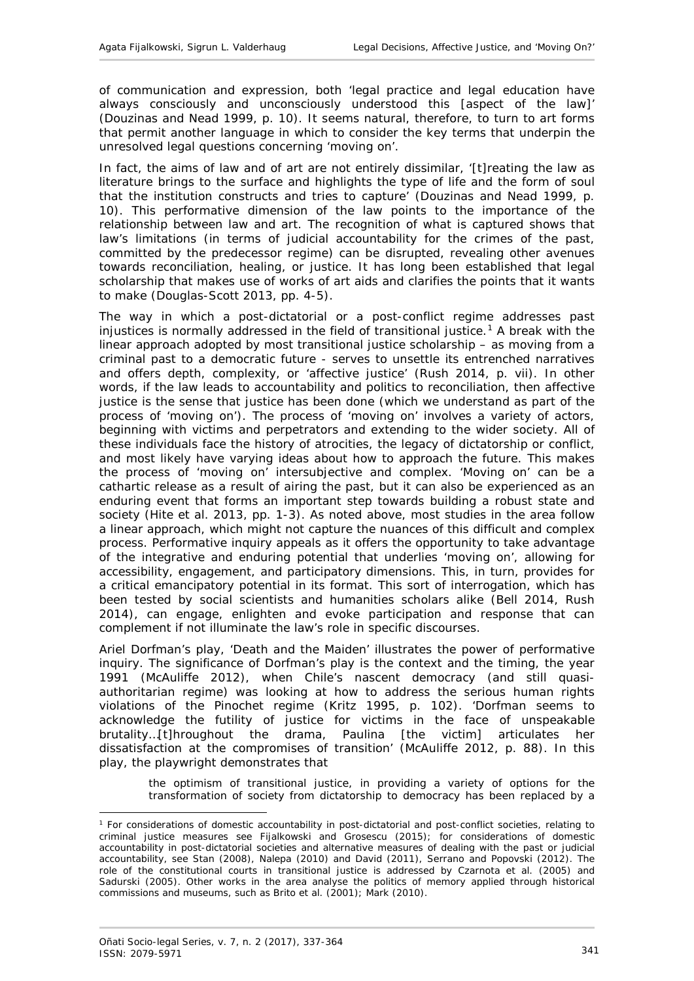of communication and expression, both 'legal practice and legal education have always consciously and unconsciously understood this [aspect of the law]' (Douzinas and Nead 1999, p. 10). It seems natural, therefore, to turn to art forms that permit another language in which to consider the key terms that underpin the unresolved legal questions concerning 'moving on'.

In fact, the aims of law and of art are not entirely dissimilar, '[t] reating the law as literature brings to the surface and highlights the type of life and the form of soul that the institution constructs and tries to capture' (Douzinas and Nead 1999, p. 10). This performative dimension of the law points to the importance of the relationship between law and art. The recognition of what is captured shows that law's limitations (in terms of judicial accountability for the crimes of the past, committed by the predecessor regime) can be disrupted, revealing other avenues towards reconciliation, healing, or justice. It has long been established that legal scholarship that makes use of works of art aids and clarifies the points that it wants to make (Douglas-Scott 2013, pp. 4-5).

The way in which a post-dictatorial or a post-conflict regime addresses past injustices is normally addressed in the field of transitional justice.<sup>[1](#page-4-0)</sup> A break with the linear approach adopted by most transitional justice scholarship – as moving from a criminal past to a democratic future - serves to unsettle its entrenched narratives and offers depth, complexity, or 'affective justice' (Rush 2014, p. vii). In other words, if the law leads to accountability and politics to reconciliation, then affective justice is the sense that justice has been done (which we understand as part of the process of 'moving on'). The process of 'moving on' involves a variety of actors, beginning with victims and perpetrators and extending to the wider society. All of these individuals face the history of atrocities, the legacy of dictatorship or conflict, and most likely have varying ideas about how to approach the future. This makes the process of 'moving on' intersubjective and complex. 'Moving on' can be a cathartic release as a result of airing the past, but it can also be experienced as an enduring event that forms an important step towards building a robust state and society (Hite *et al*. 2013, pp. 1-3). As noted above, most studies in the area follow a linear approach, which might not capture the nuances of this difficult and complex process. Performative inquiry appeals as it offers the opportunity to take advantage of the integrative and enduring potential that underlies 'moving on', allowing for accessibility, engagement, and participatory dimensions. This, in turn, provides for a critical emancipatory potential in its format. This sort of interrogation, which has been tested by social scientists and humanities scholars alike (Bell 2014, Rush 2014), can engage, enlighten and evoke participation and response that can complement if not illuminate the law's role in specific discourses.

Ariel Dorfman's play, 'Death and the Maiden' illustrates the power of performative inquiry. The significance of Dorfman's play is the context and the timing, the year 1991 (McAuliffe 2012), when Chile's nascent democracy (and still quasiauthoritarian regime) was looking at how to address the serious human rights violations of the Pinochet regime (Kritz 1995, p. 102). 'Dorfman seems to acknowledge the futility of justice for victims in the face of unspeakable brutality…[t]hroughout the drama, Paulina [the victim] articulates her dissatisfaction at the compromises of transition' (McAuliffe 2012, p. 88). In this play, the playwright demonstrates that

the optimism of transitional justice, in providing a variety of options for the transformation of society from dictatorship to democracy has been replaced by a

<u>.</u>

<span id="page-4-0"></span><sup>1</sup> For considerations of domestic accountability in post-dictatorial and post-conflict societies, relating to criminal justice measures see Fijalkowski and Grosescu (2015); for considerations of domestic accountability in post-dictatorial societies and alternative measures of dealing with the past or judicial accountability, see Stan (2008), Nalepa (2010) and David (2011), Serrano and Popovski (2012). The role of the constitutional courts in transitional justice is addressed by Czarnota *et al*. (2005) and Sadurski (2005). Other works in the area analyse the politics of memory applied through historical commissions and museums, such as Brito et al. (2001); Mark (2010).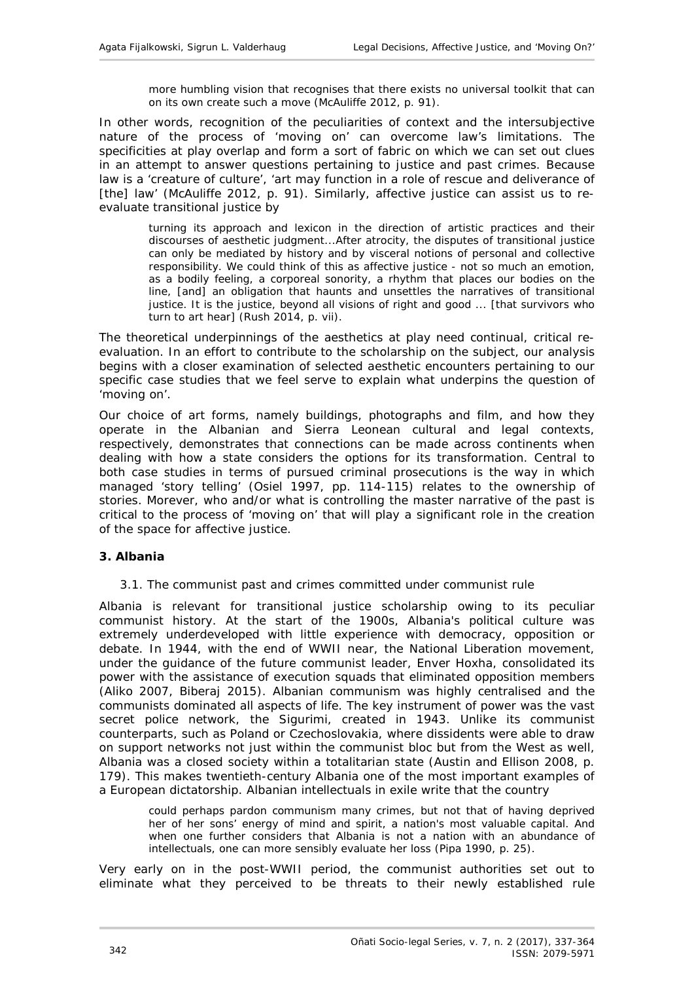more humbling vision that recognises that there exists no universal toolkit that can on its own create such a move (McAuliffe 2012, p. 91).

In other words, recognition of the peculiarities of context and the intersubjective nature of the process of 'moving on' can overcome law's limitations. The specificities at play overlap and form a sort of fabric on which we can set out clues in an attempt to answer questions pertaining to justice and past crimes. Because law is a 'creature of culture', 'art may function in a role of rescue and deliverance of [the] law' (McAuliffe 2012, p. 91). Similarly, affective justice can assist us to reevaluate transitional justice by

turning its approach and lexicon in the direction of artistic practices and their discourses of aesthetic judgment...After atrocity, the disputes of transitional justice can only be mediated by history and by visceral notions of personal and collective responsibility. We could think of this as affective justice - not so much an emotion, as a bodily feeling, a corporeal sonority, a rhythm that places our bodies on the line, [and] an obligation that haunts and unsettles the narratives of transitional justice. It is the justice, beyond all visions of right and good ... [that survivors who turn to art hear] (Rush 2014, p. vii).

The theoretical underpinnings of the aesthetics at play need continual, critical reevaluation. In an effort to contribute to the scholarship on the subject, our analysis begins with a closer examination of selected aesthetic encounters pertaining to our specific case studies that we feel serve to explain what underpins the question of 'moving on'.

Our choice of art forms, namely buildings, photographs and film, and how they operate in the Albanian and Sierra Leonean cultural and legal contexts, respectively, demonstrates that connections can be made across continents when dealing with how a state considers the options for its transformation. Central to both case studies in terms of pursued criminal prosecutions is the way in which managed 'story telling' (Osiel 1997, pp. 114-115) relates to the ownership of stories. Morever, who and/or what is controlling the master narrative of the past is critical to the process of 'moving on' that will play a significant role in the creation of the space for affective justice.

#### <span id="page-5-1"></span><span id="page-5-0"></span>**3. Albania**

#### *3.1. The communist past and crimes committed under communist rule*

Albania is relevant for transitional justice scholarship owing to its peculiar communist history. At the start of the 1900s, Albania's political culture was extremely underdeveloped with little experience with democracy, opposition or debate. In 1944, with the end of WWII near, the National Liberation movement, under the guidance of the future communist leader, Enver Hoxha, consolidated its power with the assistance of execution squads that eliminated opposition members (Aliko 2007, Biberaj 2015). Albanian communism was highly centralised and the communists dominated all aspects of life. The key instrument of power was the vast secret police network, the *Sigurimi*, created in 1943. Unlike its communist counterparts, such as Poland or Czechoslovakia, where dissidents were able to draw on support networks not just within the communist bloc but from the West as well, Albania was a closed society within a totalitarian state (Austin and Ellison 2008, p. 179). This makes twentieth-century Albania one of the most important examples of a European dictatorship. Albanian intellectuals in exile write that the country

could perhaps pardon communism many crimes, but not that of having deprived her of her sons' energy of mind and spirit, a nation's most valuable capital. And when one further considers that Albania is not a nation with an abundance of intellectuals, one can more sensibly evaluate her loss (Pipa 1990, p. 25).

Very early on in the post-WWII period, the communist authorities set out to eliminate what they perceived to be threats to their newly established rule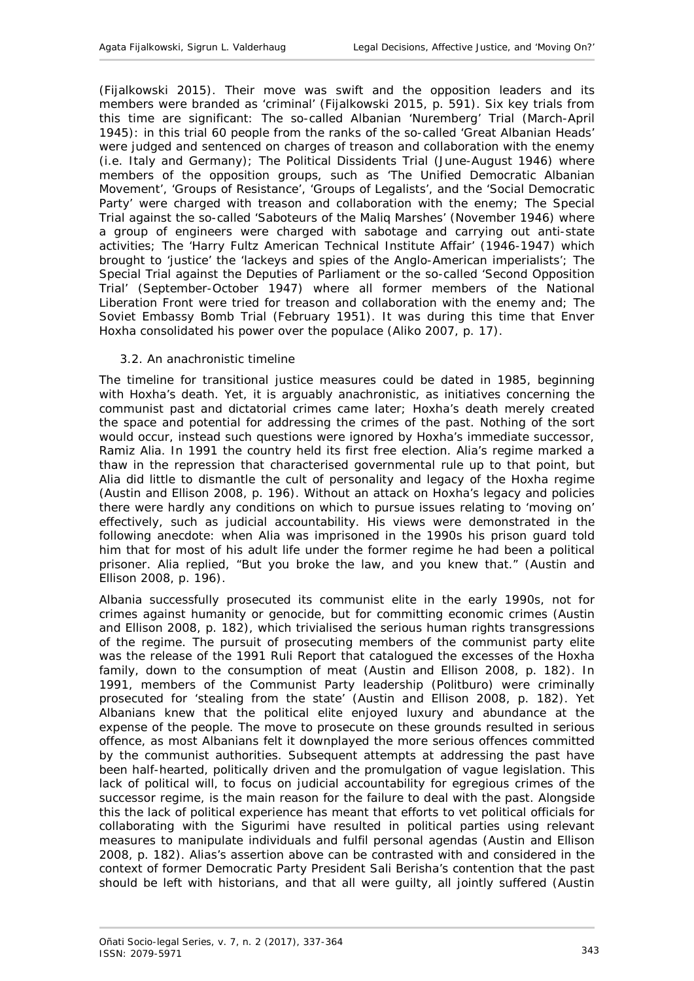(Fijalkowski 2015). Their move was swift and the opposition leaders and its members were branded as 'criminal' (Fijalkowski 2015, p. 591). Six key trials from this time are significant: The so-called Albanian 'Nuremberg' Trial (March-April 1945): in this trial 60 people from the ranks of the so-called 'Great Albanian Heads' were judged and sentenced on charges of treason and collaboration with the enemy (i.e. Italy and Germany); The Political Dissidents Trial (June-August 1946) where members of the opposition groups, such as 'The Unified Democratic Albanian Movement', 'Groups of Resistance', 'Groups of Legalists', and the 'Social Democratic Party' were charged with treason and collaboration with the enemy; The Special Trial against the so-called 'Saboteurs of the Maliq Marshes' (November 1946) where a group of engineers were charged with sabotage and carrying out anti-state activities; The 'Harry Fultz American Technical Institute Affair' (1946-1947) which brought to 'justice' the 'lackeys and spies of the Anglo-American imperialists'; The Special Trial against the Deputies of Parliament or the so-called 'Second Opposition Trial' (September-October 1947) where all former members of the National Liberation Front were tried for treason and collaboration with the enemy and; The Soviet Embassy Bomb Trial (February 1951). It was during this time that Enver Hoxha consolidated his power over the populace (Aliko 2007, p. 17).

## <span id="page-6-0"></span>*3.2. An anachronistic timeline*

The timeline for transitional justice measures could be dated in 1985, beginning with Hoxha's death. Yet, it is arguably anachronistic, as initiatives concerning the communist past and dictatorial crimes came later; Hoxha's death merely created the space and potential for addressing the crimes of the past. Nothing of the sort would occur, instead such questions were ignored by Hoxha's immediate successor, Ramiz Alia. In 1991 the country held its first free election. Alia's regime marked a thaw in the repression that characterised governmental rule up to that point, but Alia did little to dismantle the cult of personality and legacy of the Hoxha regime (Austin and Ellison 2008, p. 196). Without an attack on Hoxha's legacy and policies there were hardly any conditions on which to pursue issues relating to 'moving on' effectively, such as judicial accountability. His views were demonstrated in the following anecdote: when Alia was imprisoned in the 1990s his prison guard told him that for most of his adult life under the former regime he had been a political prisoner. Alia replied, "But you broke the law, and you knew that." (Austin and Ellison 2008, p. 196).

Albania successfully prosecuted its communist elite in the early 1990s, not for crimes against humanity or genocide, but for committing economic crimes (Austin and Ellison 2008, p. 182), which trivialised the serious human rights transgressions of the regime. The pursuit of prosecuting members of the communist party elite was the release of the 1991 Ruli Report that catalogued the excesses of the Hoxha family, down to the consumption of meat (Austin and Ellison 2008, p. 182). In 1991, members of the Communist Party leadership (*Politburo*) were criminally prosecuted for 'stealing from the state' (Austin and Ellison 2008, p. 182). Yet Albanians knew that the political elite enjoyed luxury and abundance at the expense of the people. The move to prosecute on these grounds resulted in serious offence, as most Albanians felt it downplayed the more serious offences committed by the communist authorities. Subsequent attempts at addressing the past have been half-hearted, politically driven and the promulgation of vague legislation. This lack of political will, to focus on judicial accountability for egregious crimes of the successor regime, is the main reason for the failure to deal with the past. Alongside this the lack of political experience has meant that efforts to vet political officials for collaborating with the *Sigurimi* have resulted in political parties using relevant measures to manipulate individuals and fulfil personal agendas (Austin and Ellison 2008, p. 182). Alias's assertion above can be contrasted with and considered in the context of former Democratic Party President Sali Berisha's contention that the past should be left with historians, and that all were guilty, all jointly suffered (Austin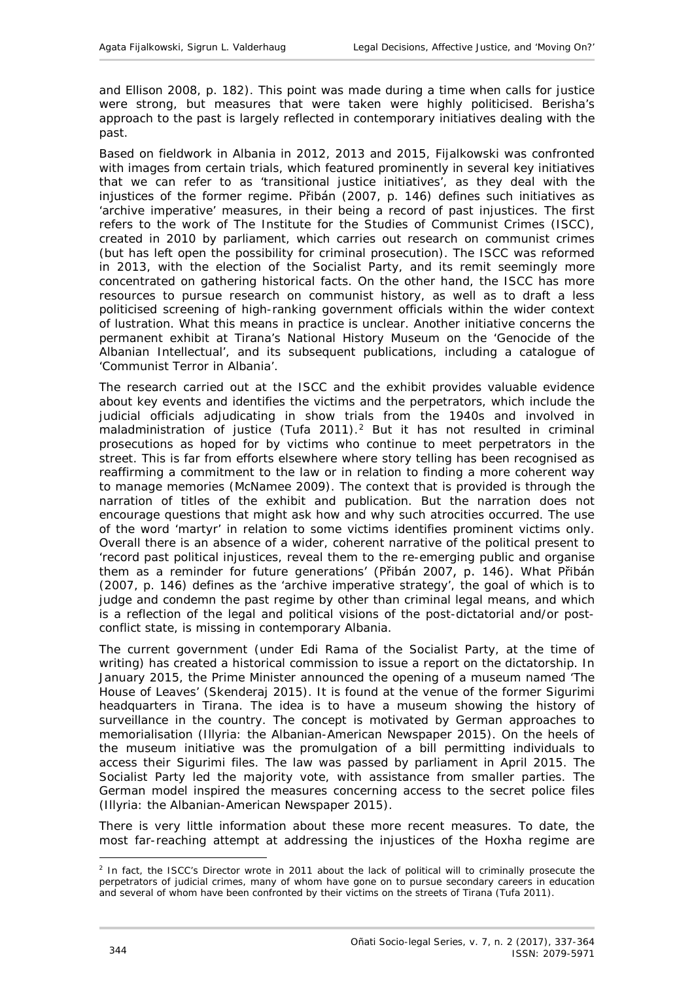and Ellison 2008, p. 182). This point was made during a time when calls for justice were strong, but measures that were taken were highly politicised. Berisha's approach to the past is largely reflected in contemporary initiatives dealing with the past.

Based on fieldwork in Albania in 2012, 2013 and 2015, Fijalkowski was confronted with images from certain trials, which featured prominently in several key initiatives that we can refer to as 'transitional justice initiatives', as they deal with the injustices of the former regime. Přibán (2007, p. 146) defines such initiatives as 'archive imperative' measures, in their being a record of past injustices. The first refers to the work of The Institute for the Studies of Communist Crimes (ISCC), created in 2010 by parliament, which carries out research on communist crimes (but has left open the possibility for criminal prosecution). The ISCC was reformed in 2013, with the election of the Socialist Party, and its remit seemingly more concentrated on gathering historical facts. On the other hand, the ISCC has more resources to pursue research on communist history, as well as to draft a less politicised screening of high-ranking government officials within the wider context of lustration. What this means in practice is unclear. Another initiative concerns the permanent exhibit at Tirana's National History Museum on the 'Genocide of the Albanian Intellectual', and its subsequent publications, including a catalogue of 'Communist Terror in Albania'.

The research carried out at the ISCC and the exhibit provides valuable evidence about key events and identifies the victims and the perpetrators, which include the judicial officials adjudicating in show trials from the 1940s and involved in maladministration of justice (Tufa [2](#page-7-0)011).<sup>2</sup> But it has not resulted in criminal prosecutions as hoped for by victims who continue to meet perpetrators in the street. This is far from efforts elsewhere where story telling has been recognised as reaffirming a commitment to the law or in relation to finding a more coherent way to manage memories (McNamee 2009). The context that is provided is through the narration of titles of the exhibit and publication. But the narration does not encourage questions that might ask how and why such atrocities occurred. The use of the word 'martyr' in relation to some victims identifies prominent victims only. Overall there is an absence of a wider, coherent narrative of the political present to 'record past political injustices, reveal them to the re-emerging public and organise them as a reminder for future generations' (Přibán 2007, p. 146). What Přibán (2007, p. 146) defines as the 'archive imperative strategy', the goal of which is to judge and condemn the past regime by other than criminal legal means, and which is a reflection of the legal and political visions of the post-dictatorial and/or postconflict state, is missing in contemporary Albania.

The current government (under Edi Rama of the Socialist Party, at the time of writing) has created a historical commission to issue a report on the dictatorship. In January 2015, the Prime Minister announced the opening of a museum named 'The House of Leaves' (Skenderaj 2015). It is found at the venue of the former *Sigurimi* headquarters in Tirana. The idea is to have a museum showing the history of surveillance in the country. The concept is motivated by German approaches to memorialisation (Illyria: the Albanian-American Newspaper 2015). On the heels of the museum initiative was the promulgation of a bill permitting individuals to access their *Sigurimi* files. The law was passed by parliament in April 2015. The Socialist Party led the majority vote, with assistance from smaller parties. The German model inspired the measures concerning access to the secret police files (Illyria: the Albanian-American Newspaper 2015).

There is very little information about these more recent measures. To date, the most far-reaching attempt at addressing the injustices of the Hoxha regime are

<span id="page-7-0"></span><sup>-</sup><sup>2</sup> In fact, the ISCC's Director wrote in 2011 about the lack of political will to criminally prosecute the perpetrators of judicial crimes, many of whom have gone on to pursue secondary careers in education and several of whom have been confronted by their victims on the streets of Tirana (Tufa 2011).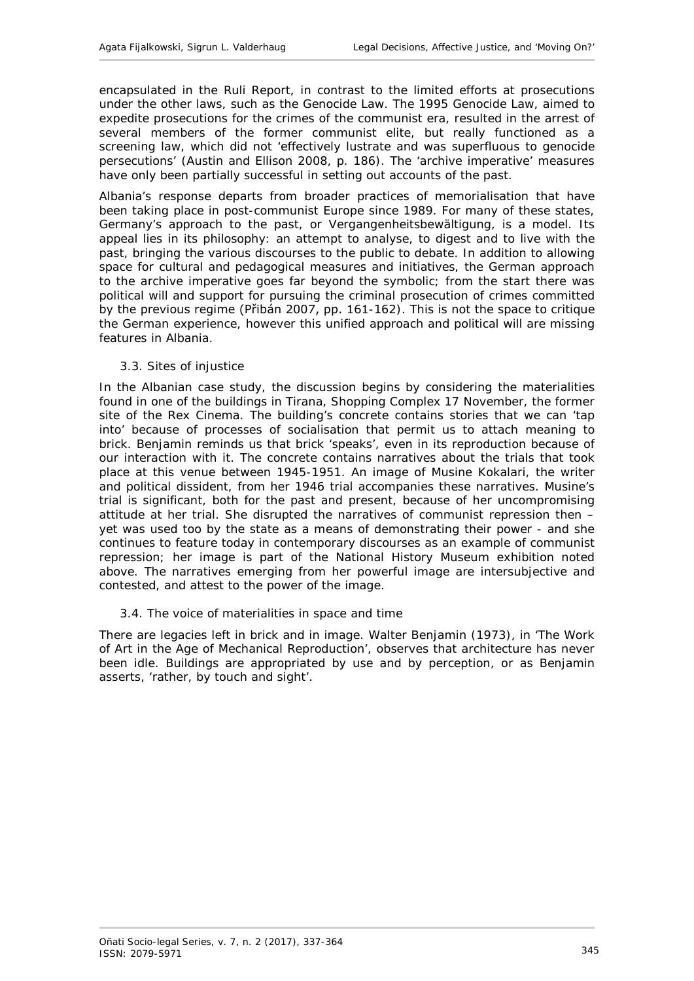encapsulated in the Ruli Report, in contrast to the limited efforts at prosecutions under the other laws, such as the Genocide Law. The 1995 Genocide Law, aimed to expedite prosecutions for the crimes of the communist era, resulted in the arrest of several members of the former communist elite, but really functioned as a screening law, which did not 'effectively lustrate and was superfluous to genocide persecutions' (Austin and Ellison 2008, p. 186). The 'archive imperative' measures have only been partially successful in setting out accounts of the past.

Albania's response departs from broader practices of memorialisation that have been taking place in post-communist Europe since 1989. For many of these states, Germany's approach to the past, or *Vergangenheitsbewältigung*, is a model. Its appeal lies in its philosophy: an attempt to analyse, to digest and to live with the past, bringing the various discourses to the public to debate. In addition to allowing space for cultural and pedagogical measures and initiatives, the German approach to the archive imperative goes far beyond the symbolic; from the start there was political will and support for pursuing the criminal prosecution of crimes committed by the previous regime (Přibán 2007, pp. 161-162). This is not the space to critique the German experience, however this unified approach and political will are missing features in Albania.

#### <span id="page-8-0"></span>*3.3. Sites of injustice*

In the Albanian case study, the discussion begins by considering the materialities found in one of the buildings in Tirana, Shopping Complex 17 November, the former site of the Rex Cinema. The building's concrete contains stories that we can 'tap into' because of processes of socialisation that permit us to attach meaning to brick. Benjamin reminds us that brick 'speaks', even in its reproduction because of our interaction with it. The concrete contains narratives about the trials that took place at this venue between 1945-1951. An image of Musine Kokalari, the writer and political dissident, from her 1946 trial accompanies these narratives. Musine's trial is significant, both for the past and present, because of her uncompromising attitude at her trial. She disrupted the narratives of communist repression then – yet was used too by the state as a means of demonstrating their power - and she continues to feature today in contemporary discourses as an example of communist repression; her image is part of the National History Museum exhibition noted above. The narratives emerging from her powerful image are intersubjective and contested, and attest to the power of the image.

#### <span id="page-8-1"></span>*3.4. The voice of materialities in space and time*

There are legacies left in brick and in image. Walter Benjamin (1973), in 'The Work of Art in the Age of Mechanical Reproduction', observes that architecture has never been idle. Buildings are appropriated by use and by perception, or as Benjamin asserts, 'rather, by touch and sight'.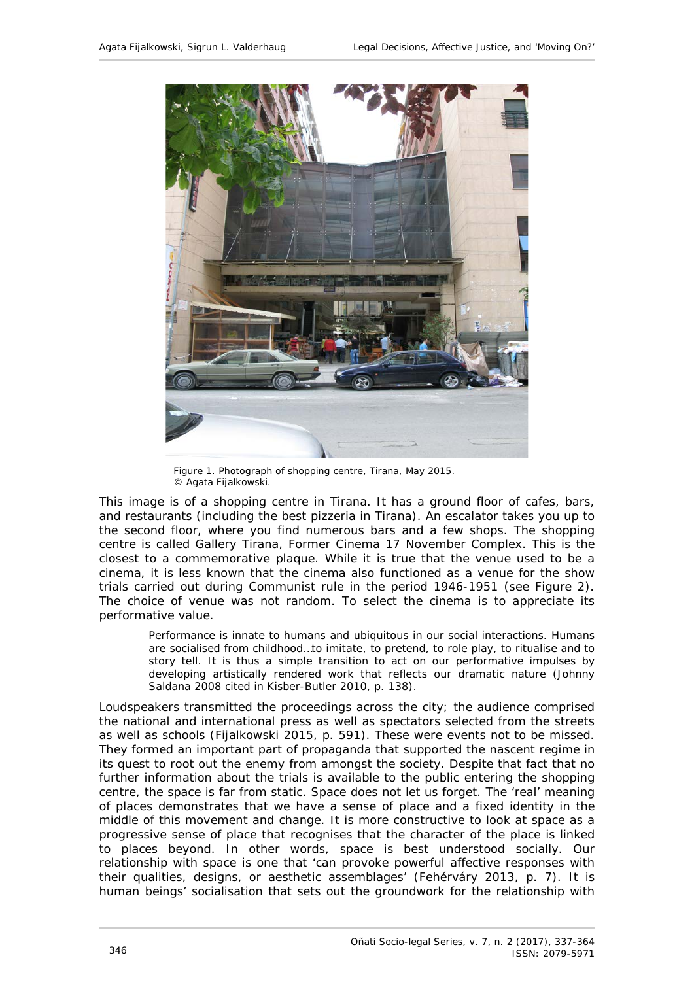

Figure 1. Photograph of shopping centre, Tirana, May 2015. © Agata Fijalkowski.

This image is of a shopping centre in Tirana. It has a ground floor of cafes, bars, and restaurants (including the best pizzeria in Tirana). An escalator takes you up to the second floor, where you find numerous bars and a few shops. The shopping centre is called Gallery Tirana, Former Cinema 17 November Complex. This is the closest to a commemorative plaque. While it is true that the venue used to be a cinema, it is less known that the cinema also functioned as a venue for the show trials carried out during Communist rule in the period 1946-1951 (see Figure 2). The choice of venue was not random. To select the cinema is to appreciate its performative value.

Performance is innate to humans and ubiquitous in our social interactions. Humans are socialised from childhood…to imitate, to pretend, to role play, to ritualise and to story tell. It is thus a simple transition to act on our performative impulses by developing artistically rendered work that reflects our dramatic nature (Johnny Saldana 2008 cited in Kisber-Butler 2010, p. 138).

Loudspeakers transmitted the proceedings across the city; the audience comprised the national and international press as well as spectators selected from the streets as well as schools (Fijalkowski 2015, p. 591). These were events not to be missed. They formed an important part of propaganda that supported the nascent regime in its quest to root out the enemy from amongst the society. Despite that fact that no further information about the trials is available to the public entering the shopping centre, the space is far from static. Space does not let us forget. The 'real' meaning of places demonstrates that we have a sense of place and a fixed identity in the middle of this movement and change. It is more constructive to look at space as a progressive sense of place that recognises that the character of the place is linked to places beyond. In other words, space is best understood socially. Our relationship with space is one that 'can provoke powerful affective responses with their qualities, designs, or aesthetic assemblages' (Fehérváry 2013, p. 7). It is human beings' socialisation that sets out the groundwork for the relationship with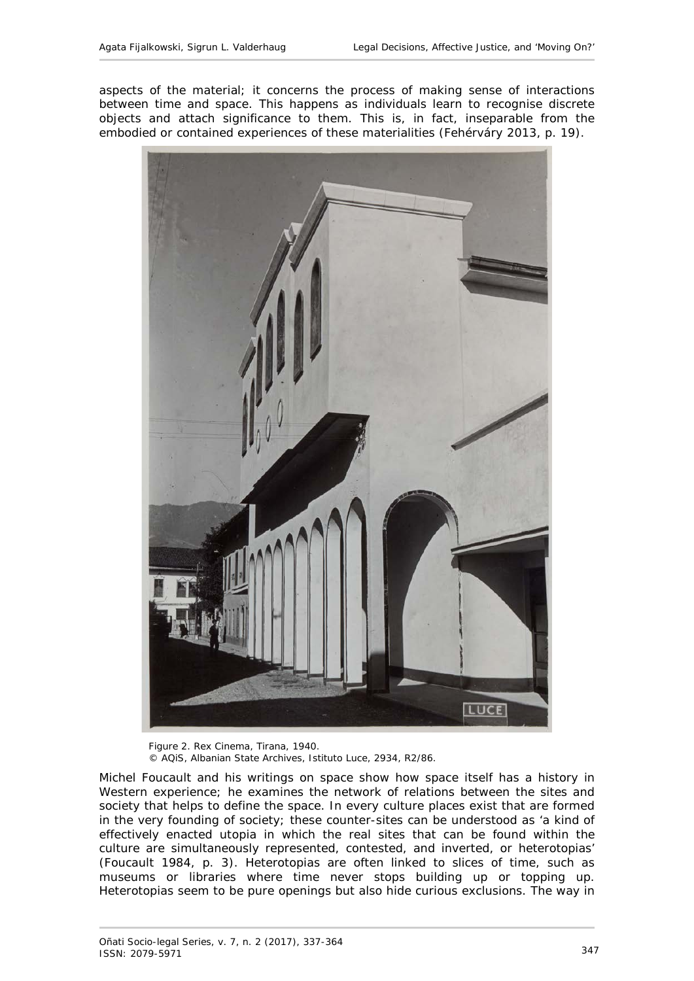aspects of the material; it concerns the process of making sense of interactions between time and space. This happens as individuals learn to recognise discrete objects and attach significance to them. This is, in fact, inseparable from the embodied or contained experiences of these materialities (Fehérváry 2013, p. 19).



Figure 2. Rex Cinema, Tirana, 1940. © AQiS, Albanian State Archives, Istituto Luce, 2934, R2/86.

Michel Foucault and his writings on space show how space itself has a history in Western experience; he examines the network of relations between the sites and society that helps to define the space. In every culture places exist that are formed in the very founding of society; these counter-sites can be understood as 'a kind of effectively enacted utopia in which the real sites that can be found within the culture are simultaneously represented, contested, and inverted, or heterotopias' (Foucault 1984, p. 3). Heterotopias are often linked to slices of time, such as museums or libraries where time never stops building up or topping up. Heterotopias seem to be pure openings but also hide curious exclusions. The way in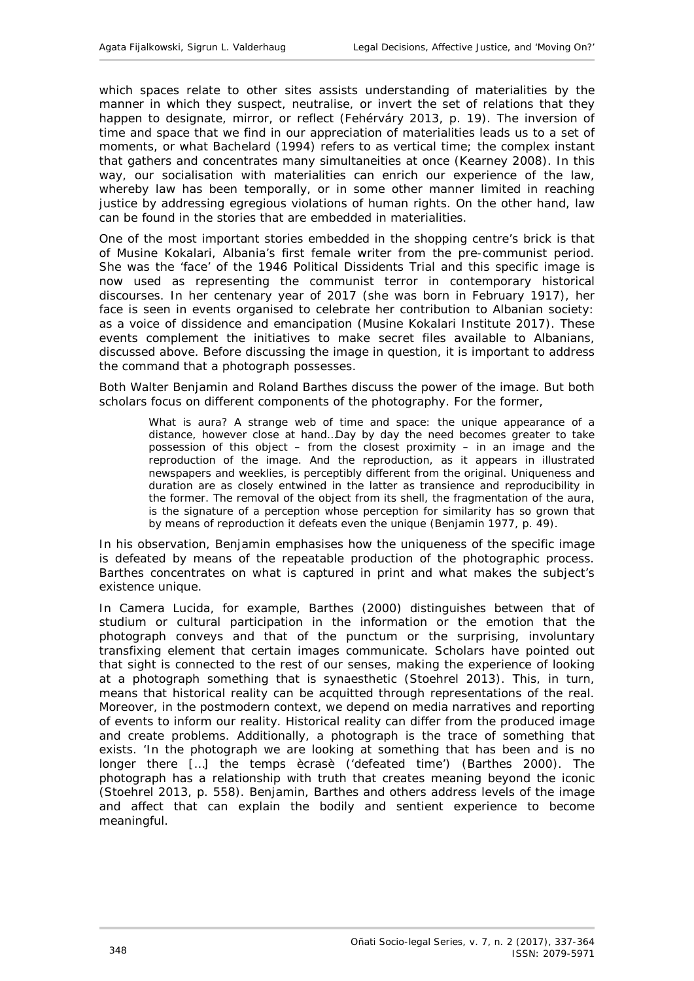which spaces relate to other sites assists understanding of materialities by the manner in which they suspect, neutralise, or invert the set of relations that they happen to designate, mirror, or reflect (Fehérváry 2013, p. 19). The inversion of time and space that we find in our appreciation of materialities leads us to a set of moments, or what Bachelard (1994) refers to as vertical time; the complex instant that gathers and concentrates many simultaneities at once (Kearney 2008). In this way, our socialisation with materialities can enrich our experience of the law, whereby law has been temporally, or in some other manner limited in reaching justice by addressing egregious violations of human rights. On the other hand, law can be found in the stories that are embedded in materialities.

One of the most important stories embedded in the shopping centre's brick is that of Musine Kokalari, Albania's first female writer from the pre-communist period. She was the 'face' of the 1946 Political Dissidents Trial and this specific image is now used as representing the communist terror in contemporary historical discourses. In her centenary year of 2017 (she was born in February 1917), her face is seen in events organised to celebrate her contribution to Albanian society: as a voice of dissidence and emancipation (Musine Kokalari Institute 2017). These events complement the initiatives to make secret files available to Albanians, discussed above. Before discussing the image in question, it is important to address the command that a photograph possesses.

Both Walter Benjamin and Roland Barthes discuss the power of the image. But both scholars focus on different components of the photography. For the former,

What is aura? A strange web of time and space: the unique appearance of a distance, however close at hand…Day by day the need becomes greater to take possession of this object – from the closest proximity – in an image and the reproduction of the image. And the reproduction, as it appears in illustrated newspapers and weeklies, is perceptibly different from the original. Uniqueness and duration are as closely entwined in the latter as transience and reproducibility in the former. The removal of the object from its shell, the fragmentation of the aura, is the signature of a perception whose perception for similarity has so grown that by means of reproduction it defeats even the unique (Benjamin 1977, p. 49).

In his observation, Benjamin emphasises how the uniqueness of the specific image is defeated by means of the repeatable production of the photographic process. Barthes concentrates on what is captured in print and what makes the subject's existence unique.

In *Camera Lucida*, for example, Barthes (2000) distinguishes between that of *studium* or cultural participation in the information or the emotion that the photograph conveys and that of the *punctum* or the surprising, involuntary transfixing element that certain images communicate. Scholars have pointed out that sight is connected to the rest of our senses, making the experience of looking at a photograph something that is synaesthetic (Stoehrel 2013). This, in turn, means that historical reality can be acquitted through representations of the real. Moreover, in the postmodern context, we depend on media narratives and reporting of events to inform our reality. Historical reality can differ from the produced image and create problems. Additionally, a photograph is the trace of something that exists. 'In the photograph we are looking at something that has been and is no longer there […] the *temps ècrasè* ('defeated time') (Barthes 2000). The photograph has a relationship with truth that creates meaning beyond the iconic (Stoehrel 2013, p. 558). Benjamin, Barthes and others address levels of the image and affect that can explain the bodily and sentient experience to become meaningful.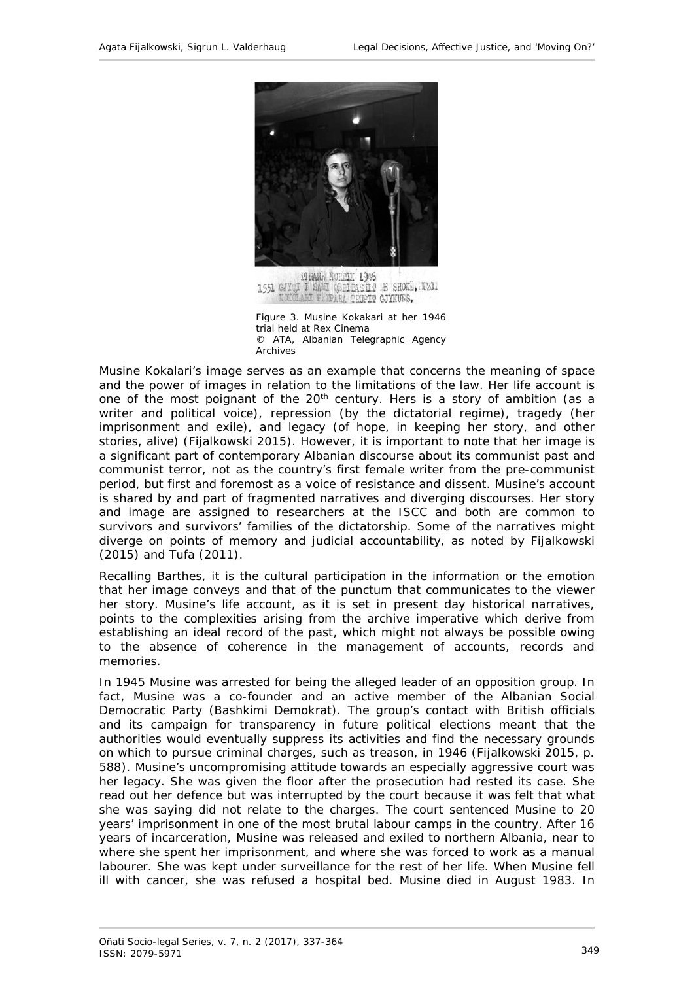

1551 GJY I SAMI (STIRASHI AS SHOKE, WELL KOKOLAMI PERPARA TRUPIT GJYKUBS,

Figure 3. Musine Kokakari at her 1946 trial held at Rex Cinema © ATA, Albanian Telegraphic Agency Archives

Musine Kokalari's image serves as an example that concerns the meaning of space and the power of images in relation to the limitations of the law. Her life account is one of the most poignant of the 20<sup>th</sup> century. Hers is a story of ambition (as a writer and political voice), repression (by the dictatorial regime), tragedy (her imprisonment and exile), and legacy (of hope, in keeping her story, and other stories, alive) (Fijalkowski 2015). However, it is important to note that her image is a significant part of contemporary Albanian discourse about its communist past and communist terror, not as the country's first female writer from the pre-communist period, but first and foremost as a voice of resistance and dissent. Musine's account is shared by and part of fragmented narratives and diverging discourses. Her story and image are assigned to researchers at the ISCC and both are common to survivors and survivors' families of the dictatorship. Some of the narratives might diverge on points of memory and judicial accountability, as noted by Fijalkowski (2015) and Tufa (2011).

Recalling Barthes, it is the cultural participation in the information or the emotion that her image conveys and that of the *punctum* that communicates to the viewer her story. Musine's life account, as it is set in present day historical narratives, points to the complexities arising from the archive imperative which derive from establishing an ideal record of the past, which might not always be possible owing to the absence of coherence in the management of accounts, records and memories.

In 1945 Musine was arrested for being the alleged leader of an opposition group. In fact, Musine was a co-founder and an active member of the Albanian Social Democratic Party *(Bashkimi Demokrat)*. The group's contact with British officials and its campaign for transparency in future political elections meant that the authorities would eventually suppress its activities and find the necessary grounds on which to pursue criminal charges, such as treason, in 1946 (Fijalkowski 2015, p. 588). Musine's uncompromising attitude towards an especially aggressive court was her legacy. She was given the floor after the prosecution had rested its case. She read out her defence but was interrupted by the court because it was felt that what she was saying did not relate to the charges. The court sentenced Musine to 20 years' imprisonment in one of the most brutal labour camps in the country. After 16 years of incarceration, Musine was released and exiled to northern Albania, near to where she spent her imprisonment, and where she was forced to work as a manual labourer. She was kept under surveillance for the rest of her life. When Musine fell ill with cancer, she was refused a hospital bed. Musine died in August 1983. In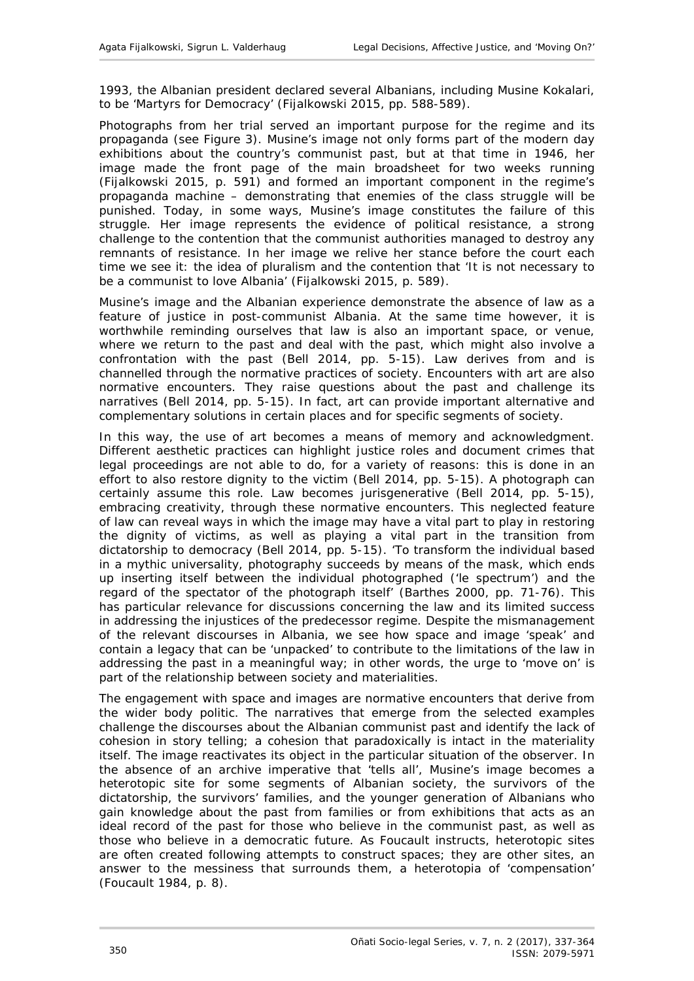1993, the Albanian president declared several Albanians, including Musine Kokalari, to be 'Martyrs for Democracy' (Fijalkowski 2015, pp. 588-589).

Photographs from her trial served an important purpose for the regime and its propaganda (see Figure 3). Musine's image not only forms part of the modern day exhibitions about the country's communist past, but at that time in 1946, her image made the front page of the main broadsheet for two weeks running (Fijalkowski 2015, p. 591) and formed an important component in the regime's propaganda machine – demonstrating that enemies of the class struggle will be punished. Today, in some ways, Musine's image constitutes the failure of this struggle. Her image represents the evidence of political resistance, a strong challenge to the contention that the communist authorities managed to destroy any remnants of resistance. In her image we relive her stance before the court each time we see it: the idea of pluralism and the contention that 'It is not necessary to be a communist to love Albania' (Fijalkowski 2015, p. 589).

Musine's image and the Albanian experience demonstrate the absence of law as a feature of justice in post-communist Albania. At the same time however, it is worthwhile reminding ourselves that law is also an important space, or venue, where we return to the past and deal with the past, which might also involve a confrontation with the past (Bell 2014, pp. 5-15). Law derives from and is channelled through the normative practices of society. Encounters with art are also normative encounters. They raise questions about the past and challenge its narratives (Bell 2014, pp. 5-15). In fact, art can provide important alternative and complementary solutions in certain places and for specific segments of society.

In this way, the use of art becomes a means of memory and acknowledgment. Different aesthetic practices can highlight justice roles and document crimes that legal proceedings are not able to do, for a variety of reasons: this is done in an effort to also restore dignity to the victim (Bell 2014, pp. 5-15). A photograph can certainly assume this role. Law becomes jurisgenerative (Bell 2014, pp. 5-15), embracing creativity, through these normative encounters. This neglected feature of law can reveal ways in which the image may have a vital part to play in restoring the dignity of victims, as well as playing a vital part in the transition from dictatorship to democracy (Bell 2014, pp. 5-15). 'To transform the individual based in a mythic universality, photography succeeds by means of the mask, which ends up inserting itself between the individual photographed *('le spectrum'*) and the regard of the spectator of the photograph itself' (Barthes 2000, pp. 71-76). This has particular relevance for discussions concerning the law and its limited success in addressing the injustices of the predecessor regime. Despite the mismanagement of the relevant discourses in Albania, we see how space and image 'speak' and contain a legacy that can be 'unpacked' to contribute to the limitations of the law in addressing the past in a meaningful way; in other words, the urge to 'move on' is part of the relationship between society and materialities.

The engagement with space and images are normative encounters that derive from the wider body politic. The narratives that emerge from the selected examples challenge the discourses about the Albanian communist past and identify the lack of cohesion in story telling; a cohesion that paradoxically is intact in the materiality itself. The image reactivates its object in the particular situation of the observer. In the absence of an archive imperative that 'tells all', Musine's image becomes a heterotopic site for some segments of Albanian society, the survivors of the dictatorship, the survivors' families, and the younger generation of Albanians who gain knowledge about the past from families or from exhibitions that acts as an ideal record of the past for those who believe in the communist past, as well as those who believe in a democratic future. As Foucault instructs, heterotopic sites are often created following attempts to construct spaces; they are other sites, an answer to the messiness that surrounds them, a heterotopia of 'compensation' (Foucault 1984, p. 8).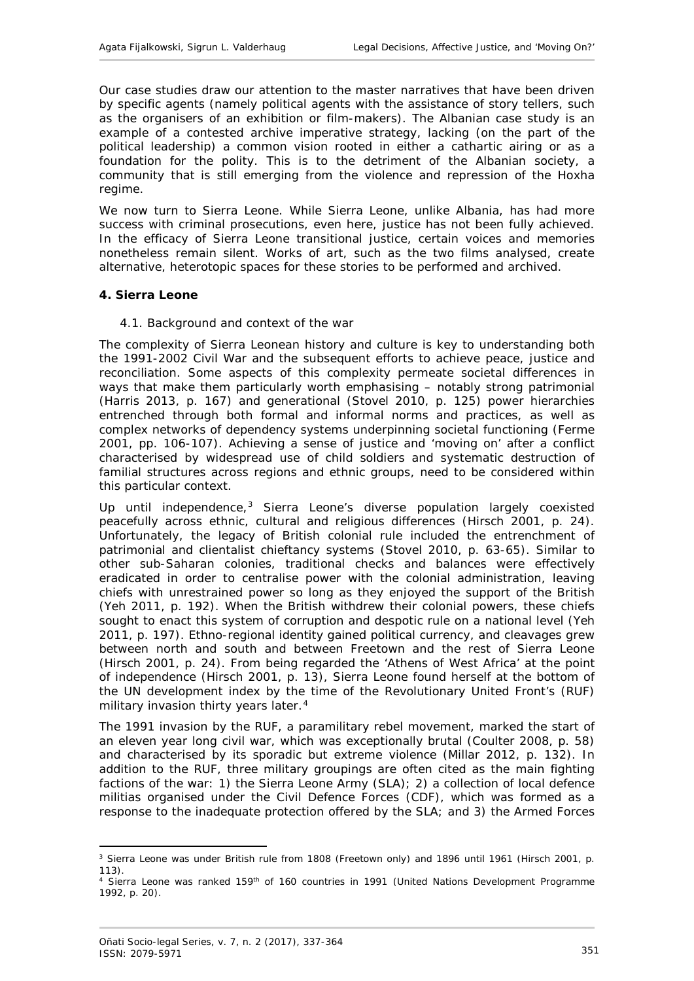Our case studies draw our attention to the master narratives that have been driven by specific agents (namely political agents with the assistance of story tellers, such as the organisers of an exhibition or film-makers). The Albanian case study is an example of a contested archive imperative strategy, lacking (on the part of the political leadership) a common vision rooted in either a cathartic airing or as a foundation for the polity. This is to the detriment of the Albanian society, a community that is still emerging from the violence and repression of the Hoxha regime.

We now turn to Sierra Leone. While Sierra Leone, unlike Albania, has had more success with criminal prosecutions, even here, justice has not been fully achieved. In the efficacy of Sierra Leone transitional justice, certain voices and memories nonetheless remain silent. Works of art, such as the two films analysed, create alternative, heterotopic spaces for these stories to be performed and archived.

## <span id="page-14-1"></span><span id="page-14-0"></span>**4. Sierra Leone**

## *4.1. Background and context of the war*

The complexity of Sierra Leonean history and culture is key to understanding both the 1991-2002 Civil War and the subsequent efforts to achieve peace, justice and reconciliation. Some aspects of this complexity permeate societal differences in ways that make them particularly worth emphasising – notably strong patrimonial (Harris 2013, p. 167) and generational (Stovel 2010, p. 125) power hierarchies entrenched through both formal and informal norms and practices, as well as complex networks of dependency systems underpinning societal functioning (Ferme 2001, pp. 106-107). Achieving a sense of justice and 'moving on' after a conflict characterised by widespread use of child soldiers and systematic destruction of familial structures across regions and ethnic groups, need to be considered within this particular context.

Up until independence,<sup>[3](#page-14-2)</sup> Sierra Leone's diverse population largely coexisted peacefully across ethnic, cultural and religious differences (Hirsch 2001, p. 24). Unfortunately, the legacy of British colonial rule included the entrenchment of patrimonial and clientalist chieftancy systems (Stovel 2010, p. 63-65). Similar to other sub-Saharan colonies, traditional checks and balances were effectively eradicated in order to centralise power with the colonial administration, leaving chiefs with unrestrained power so long as they enjoyed the support of the British (Yeh 2011, p. 192). When the British withdrew their colonial powers, these chiefs sought to enact this system of corruption and despotic rule on a national level (Yeh 2011, p. 197). Ethno-regional identity gained political currency, and cleavages grew between north and south and between Freetown and the rest of Sierra Leone (Hirsch 2001, p. 24). From being regarded the 'Athens of West Africa' at the point of independence (Hirsch 2001, p. 13), Sierra Leone found herself at the bottom of the UN development index by the time of the Revolutionary United Front's (RUF) military invasion thirty years later.<sup>[4](#page-14-3)</sup>

The 1991 invasion by the RUF, a paramilitary rebel movement, marked the start of an eleven year long civil war, which was exceptionally brutal (Coulter 2008, p. 58) and characterised by its sporadic but extreme violence (Millar 2012, p. 132). In addition to the RUF, three military groupings are often cited as the main fighting factions of the war: 1) the Sierra Leone Army (SLA); 2) a collection of local defence militias organised under the Civil Defence Forces (CDF), which was formed as a response to the inadequate protection offered by the SLA; and 3) the Armed Forces

<span id="page-14-2"></span><sup>&</sup>lt;u>.</u> <sup>3</sup> Sierra Leone was under British rule from 1808 (Freetown only) and 1896 until 1961 (Hirsch 2001, p. 113).

<span id="page-14-3"></span><sup>&</sup>lt;sup>4</sup> Sierra Leone was ranked 159<sup>th</sup> of 160 countries in 1991 (United Nations Development Programme 1992, p. 20).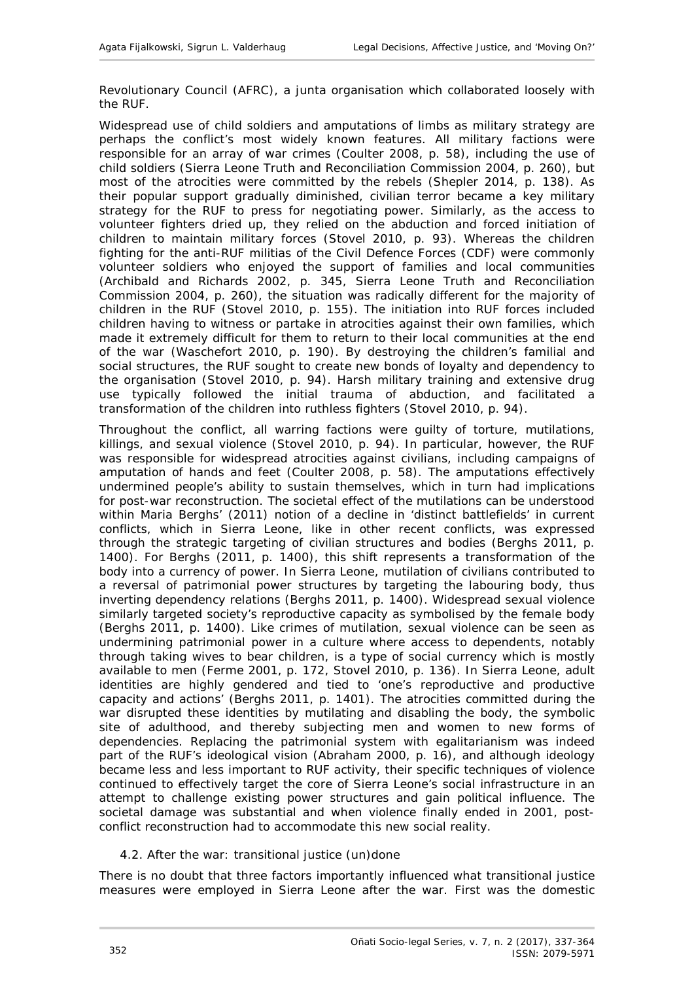Revolutionary Council (AFRC), a junta organisation which collaborated loosely with the RUF.

Widespread use of child soldiers and amputations of limbs as military strategy are perhaps the conflict's most widely known features. All military factions were responsible for an array of war crimes (Coulter 2008, p. 58), including the use of child soldiers (Sierra Leone Truth and Reconciliation Commission 2004, p. 260), but most of the atrocities were committed by the rebels (Shepler 2014, p. 138). As their popular support gradually diminished, civilian terror became a key military strategy for the RUF to press for negotiating power. Similarly, as the access to volunteer fighters dried up, they relied on the abduction and forced initiation of children to maintain military forces (Stovel 2010, p. 93). Whereas the children fighting for the anti-RUF militias of the Civil Defence Forces (CDF) were commonly volunteer soldiers who enjoyed the support of families and local communities (Archibald and Richards 2002, p. 345, Sierra Leone Truth and Reconciliation Commission 2004, p. 260), the situation was radically different for the majority of children in the RUF (Stovel 2010, p. 155). The initiation into RUF forces included children having to witness or partake in atrocities against their own families, which made it extremely difficult for them to return to their local communities at the end of the war (Waschefort 2010, p. 190). By destroying the children's familial and social structures, the RUF sought to create new bonds of loyalty and dependency to the organisation (Stovel 2010, p. 94). Harsh military training and extensive drug use typically followed the initial trauma of abduction, and facilitated a transformation of the children into ruthless fighters (Stovel 2010, p. 94).

Throughout the conflict, all warring factions were guilty of torture, mutilations, killings, and sexual violence (Stovel 2010, p. 94). In particular, however, the RUF was responsible for widespread atrocities against civilians, including campaigns of amputation of hands and feet (Coulter 2008, p. 58). The amputations effectively undermined people's ability to sustain themselves, which in turn had implications for post-war reconstruction. The societal effect of the mutilations can be understood within Maria Berghs' (2011) notion of a decline in 'distinct battlefields' in current conflicts, which in Sierra Leone, like in other recent conflicts, was expressed through the strategic targeting of civilian structures and bodies (Berghs 2011, p. 1400). For Berghs (2011, p. 1400), this shift represents a transformation of the body into a currency of power. In Sierra Leone, mutilation of civilians contributed to a reversal of patrimonial power structures by targeting the labouring body, thus inverting dependency relations (Berghs 2011, p. 1400). Widespread sexual violence similarly targeted society's reproductive capacity as symbolised by the female body (Berghs 2011, p. 1400). Like crimes of mutilation, sexual violence can be seen as undermining patrimonial power in a culture where access to dependents, notably through taking wives to bear children, is a type of social currency which is mostly available to men (Ferme 2001, p. 172, Stovel 2010, p. 136). In Sierra Leone, adult identities are highly gendered and tied to 'one's reproductive and productive capacity and actions' (Berghs 2011, p. 1401). The atrocities committed during the war disrupted these identities by mutilating and disabling the body, the symbolic site of adulthood, and thereby subjecting men and women to new forms of dependencies. Replacing the patrimonial system with egalitarianism was indeed part of the RUF's ideological vision (Abraham 2000, p. 16), and although ideology became less and less important to RUF activity, their specific techniques of violence continued to effectively target the core of Sierra Leone's social infrastructure in an attempt to challenge existing power structures and gain political influence. The societal damage was substantial and when violence finally ended in 2001, postconflict reconstruction had to accommodate this new social reality.

# <span id="page-15-0"></span>*4.2. After the war: transitional justice (un)done*

There is no doubt that three factors importantly influenced what transitional justice measures were employed in Sierra Leone after the war. First was the domestic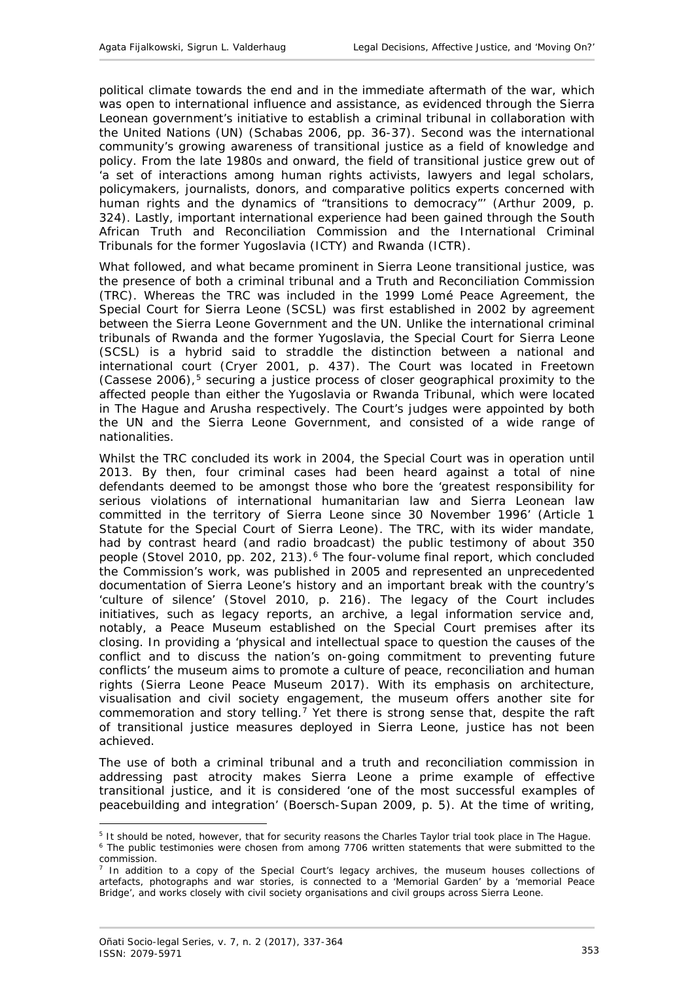political climate towards the end and in the immediate aftermath of the war, which was open to international influence and assistance, as evidenced through the Sierra Leonean government's initiative to establish a criminal tribunal in collaboration with the United Nations (UN) (Schabas 2006, pp. 36-37). Second was the international community's growing awareness of transitional justice as a field of knowledge and policy. From the late 1980s and onward, the field of transitional justice grew out of 'a set of interactions among human rights activists, lawyers and legal scholars, policymakers, journalists, donors, and comparative politics experts concerned with human rights and the dynamics of "transitions to democracy"' (Arthur 2009, p. 324). Lastly, important international experience had been gained through the South African Truth and Reconciliation Commission and the International Criminal Tribunals for the former Yugoslavia (ICTY) and Rwanda (ICTR).

What followed, and what became prominent in Sierra Leone transitional justice, was the presence of both a criminal tribunal and a Truth and Reconciliation Commission (TRC). Whereas the TRC was included in the 1999 Lomé Peace Agreement, the Special Court for Sierra Leone (SCSL) was first established in 2002 by agreement between the Sierra Leone Government and the UN. Unlike the international criminal tribunals of Rwanda and the former Yugoslavia, the Special Court for Sierra Leone (SCSL) is a hybrid said to straddle the distinction between a national and international court (Cryer 2001, p. 437). The Court was located in Freetown (Cassese 2006), $5$  securing a justice process of closer geographical proximity to the affected people than either the Yugoslavia or Rwanda Tribunal, which were located in The Hague and Arusha respectively. The Court's judges were appointed by both the UN and the Sierra Leone Government, and consisted of a wide range of nationalities.

Whilst the TRC concluded its work in 2004, the Special Court was in operation until 2013. By then, four criminal cases had been heard against a total of nine defendants deemed to be amongst those who bore the 'greatest responsibility for serious violations of international humanitarian law and Sierra Leonean law committed in the territory of Sierra Leone since 30 November 1996' (Article 1 Statute for the Special Court of Sierra Leone). The TRC, with its wider mandate, had by contrast heard (and radio broadcast) the public testimony of about 350 people (Stovel 2010, pp. 202, 213). $6$  The four-volume final report, which concluded the Commission's work, was published in 2005 and represented an unprecedented documentation of Sierra Leone's history and an important break with the country's 'culture of silence' (Stovel 2010, p. 216). The legacy of the Court includes initiatives, such as legacy reports, an archive, a legal information service and, notably, a Peace Museum established on the Special Court premises after its closing. In providing a 'physical and intellectual space to question the causes of the conflict and to discuss the nation's on-going commitment to preventing future conflicts' the museum aims to promote a culture of peace, reconciliation and human rights (Sierra Leone Peace Museum 2017). With its emphasis on architecture, visualisation and civil society engagement, the museum offers another site for commemoration and story telling.<sup>[7](#page-16-2)</sup> Yet there is strong sense that, despite the raft of transitional justice measures deployed in Sierra Leone, justice has not been achieved.

The use of both a criminal tribunal and a truth and reconciliation commission in addressing past atrocity makes Sierra Leone a prime example of *effective* transitional justice, and it is considered 'one of the most successful examples of peacebuilding and integration' (Boersch-Supan 2009, p. 5). At the time of writing,

<u>.</u>

<span id="page-16-1"></span><span id="page-16-0"></span><sup>&</sup>lt;sup>5</sup> It should be noted, however, that for security reasons the Charles Taylor trial took place in The Hague.  $6$  The public testimonies were chosen from among 7706 written statements that were submitted to the commission.

<span id="page-16-2"></span> $<sup>7</sup>$  In addition to a copy of the Special Court's legacy archives, the museum houses collections of</sup> artefacts, photographs and war stories, is connected to a 'Memorial Garden' by a 'memorial Peace Bridge', and works closely with civil society organisations and civil groups across Sierra Leone.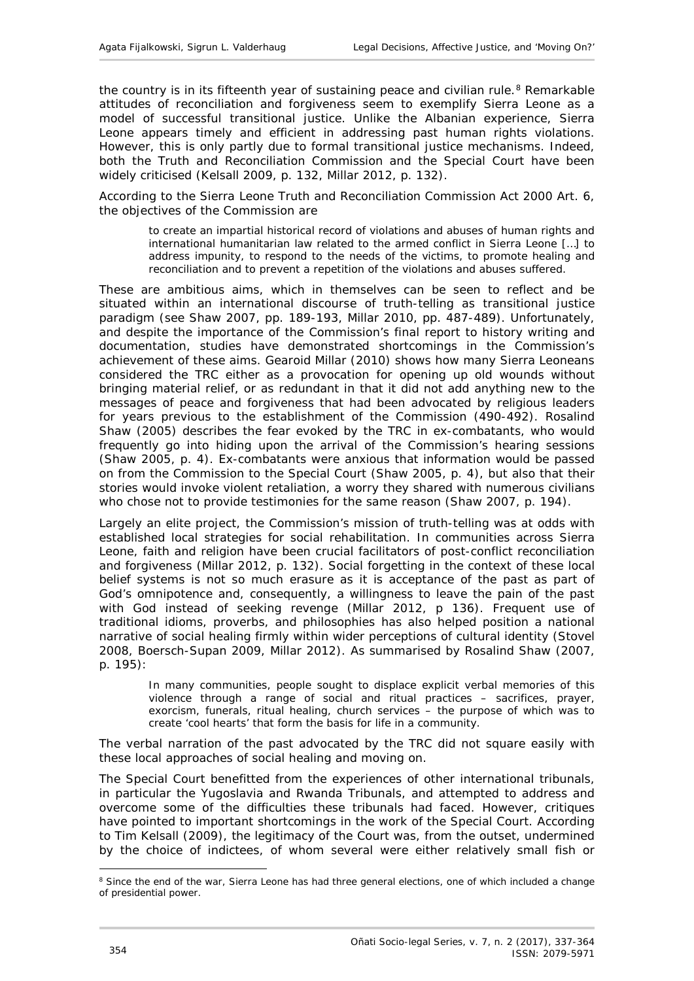the country is in its fifteenth year of sustaining peace and civilian rule.<sup>[8](#page-17-0)</sup> Remarkable attitudes of reconciliation and forgiveness seem to exemplify Sierra Leone as a model of successful transitional justice. Unlike the Albanian experience, Sierra Leone appears timely and efficient in addressing past human rights violations. However, this is only partly due to formal transitional justice mechanisms. Indeed, both the Truth and Reconciliation Commission and the Special Court have been widely criticised (Kelsall 2009, p. 132, Millar 2012, p. 132).

According to the Sierra Leone Truth and Reconciliation Commission Act 2000 Art. 6, the objectives of the Commission are

to create an impartial historical record of violations and abuses of human rights and international humanitarian law related to the armed conflict in Sierra Leone […] to address impunity, to respond to the needs of the victims, to promote healing and reconciliation and to prevent a repetition of the violations and abuses suffered.

These are ambitious aims, which in themselves can be seen to reflect and be situated within an international discourse of truth-telling as transitional justice paradigm (see Shaw 2007, pp. 189-193, Millar 2010, pp. 487-489). Unfortunately, and despite the importance of the Commission's final report to history writing and documentation, studies have demonstrated shortcomings in the Commission's achievement of these aims. Gearoid Millar (2010) shows how many Sierra Leoneans considered the TRC either as a provocation for opening up old wounds without bringing material relief, or as redundant in that it did not add anything new to the messages of peace and forgiveness that had been advocated by religious leaders for years previous to the establishment of the Commission (490-492). Rosalind Shaw (2005) describes the fear evoked by the TRC in ex-combatants, who would frequently go into hiding upon the arrival of the Commission's hearing sessions (Shaw 2005, p. 4). Ex-combatants were anxious that information would be passed on from the Commission to the Special Court (Shaw 2005, p. 4), but also that their stories would invoke violent retaliation, a worry they shared with numerous civilians who chose not to provide testimonies for the same reason (Shaw 2007, p. 194).

Largely an elite project, the Commission's mission of truth-telling was at odds with established local strategies for social rehabilitation. In communities across Sierra Leone, faith and religion have been crucial facilitators of post-conflict reconciliation and forgiveness (Millar 2012, p. 132). Social forgetting in the context of these local belief systems is not so much erasure as it is acceptance of the past as part of God's omnipotence and, consequently, a willingness to leave the pain of the past with God instead of seeking revenge (Millar 2012, p 136). Frequent use of traditional idioms, proverbs, and philosophies has also helped position a national narrative of social healing firmly within wider perceptions of cultural identity (Stovel 2008, Boersch-Supan 2009, Millar 2012). As summarised by Rosalind Shaw (2007, p. 195):

In many communities, people sought to displace explicit verbal memories of this violence through a range of social and ritual practices – sacrifices, prayer, exorcism, funerals, ritual healing, church services – the purpose of which was to create 'cool hearts' that form the basis for life in a community.

The verbal narration of the past advocated by the TRC did not square easily with these local approaches of social healing and moving on.

The Special Court benefitted from the experiences of other international tribunals, in particular the Yugoslavia and Rwanda Tribunals, and attempted to address and overcome some of the difficulties these tribunals had faced. However, critiques have pointed to important shortcomings in the work of the Special Court. According to Tim Kelsall (2009), the legitimacy of the Court was, from the outset, undermined by the choice of indictees, of whom several were either relatively small fish or

-

<span id="page-17-0"></span><sup>&</sup>lt;sup>8</sup> Since the end of the war, Sierra Leone has had three general elections, one of which included a change of presidential power.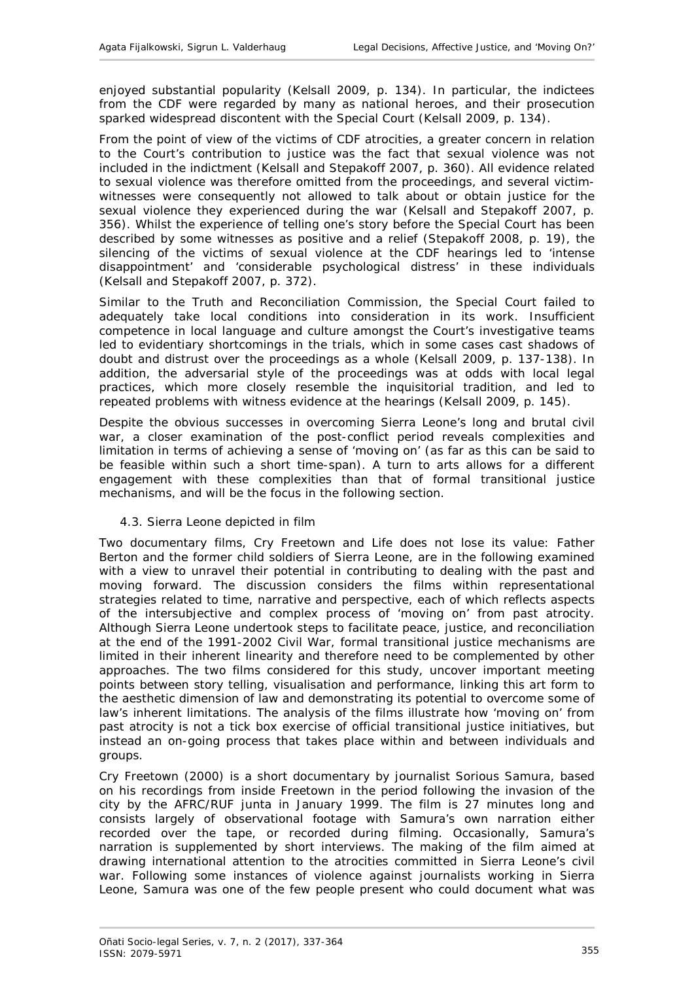enjoyed substantial popularity (Kelsall 2009, p. 134). In particular, the indictees from the CDF were regarded by many as national heroes, and their prosecution sparked widespread discontent with the Special Court (Kelsall 2009, p. 134).

From the point of view of the victims of CDF atrocities, a greater concern in relation to the Court's contribution to justice was the fact that sexual violence was not included in the indictment (Kelsall and Stepakoff 2007, p. 360). All evidence related to sexual violence was therefore omitted from the proceedings, and several victimwitnesses were consequently not allowed to talk about or obtain justice for the sexual violence they experienced during the war (Kelsall and Stepakoff 2007, p. 356). Whilst the experience of telling one's story before the Special Court has been described by some witnesses as positive and a relief (Stepakoff 2008, p. 19), the silencing of the victims of sexual violence at the CDF hearings led to 'intense disappointment' and 'considerable psychological distress' in these individuals (Kelsall and Stepakoff 2007, p. 372).

Similar to the Truth and Reconciliation Commission, the Special Court failed to adequately take local conditions into consideration in its work. Insufficient competence in local language and culture amongst the Court's investigative teams led to evidentiary shortcomings in the trials, which in some cases cast shadows of doubt and distrust over the proceedings as a whole (Kelsall 2009, p. 137-138). In addition, the adversarial style of the proceedings was at odds with local legal practices, which more closely resemble the inquisitorial tradition, and led to repeated problems with witness evidence at the hearings (Kelsall 2009, p. 145).

Despite the obvious successes in overcoming Sierra Leone's long and brutal civil war, a closer examination of the post-conflict period reveals complexities and limitation in terms of achieving a sense of 'moving on' (as far as this can be said to be feasible within such a short time-span). A turn to arts allows for a different engagement with these complexities than that of formal transitional justice mechanisms, and will be the focus in the following section.

#### <span id="page-18-0"></span>*4.3. Sierra Leone depicted in film*

Two documentary films, *Cry Freetown* and *Life does not lose its value: Father Berton and the former child soldiers of Sierra Leone*, are in the following examined with a view to unravel their potential in contributing to dealing with the past and moving forward. The discussion considers the films within representational strategies related to time, narrative and perspective, each of which reflects aspects of the intersubjective and complex process of 'moving on' from past atrocity. Although Sierra Leone undertook steps to facilitate peace, justice, and reconciliation at the end of the 1991-2002 Civil War, formal transitional justice mechanisms are limited in their inherent linearity and therefore need to be complemented by other approaches. The two films considered for this study, uncover important meeting points between story telling, visualisation and performance, linking this art form to the aesthetic dimension of law and demonstrating its potential to overcome some of law's inherent limitations. The analysis of the films illustrate how 'moving on' from past atrocity is not a tick box exercise of official transitional justice initiatives, but instead an on-going process that takes place within and between individuals and groups.

*Cry Freetown* (2000) is a short documentary by journalist Sorious Samura, based on his recordings from inside Freetown in the period following the invasion of the city by the AFRC/RUF junta in January 1999. The film is 27 minutes long and consists largely of observational footage with Samura's own narration either recorded over the tape, or recorded during filming. Occasionally, Samura's narration is supplemented by short interviews. The making of the film aimed at drawing international attention to the atrocities committed in Sierra Leone's civil war. Following some instances of violence against journalists working in Sierra Leone, Samura was one of the few people present who could document what was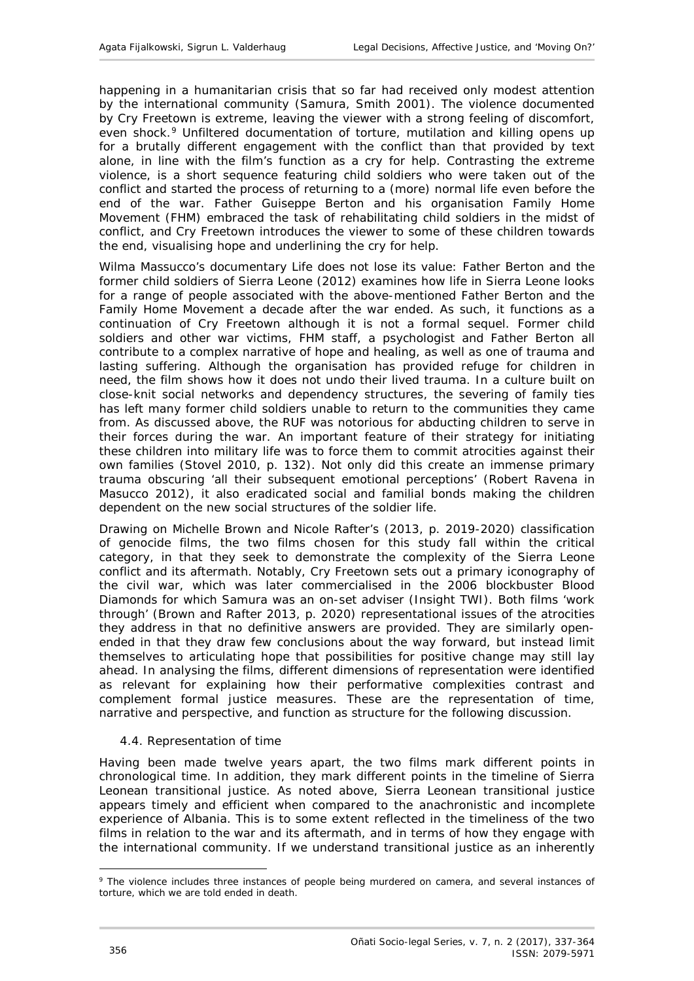happening in a humanitarian crisis that so far had received only modest attention by the international community (Samura, Smith 2001). The violence documented by *Cry Freetown* is extreme, leaving the viewer with a strong feeling of discomfort, even shock.<sup>[9](#page-19-1)</sup> Unfiltered documentation of torture, mutilation and killing opens up for a brutally different engagement with the conflict than that provided by text alone, in line with the film's function as a cry for help. Contrasting the extreme violence, is a short sequence featuring child soldiers who were taken out of the conflict and started the process of returning to a (more) normal life even before the end of the war. Father Guiseppe Berton and his organisation Family Home Movement (FHM) embraced the task of rehabilitating child soldiers in the midst of conflict, and *Cry Freetown* introduces the viewer to some of these children towards the end, visualising hope and underlining the cry for help.

Wilma Massucco's documentary *Life does not lose its value: Father Berton and the former child soldiers of Sierra Leone* (2012) examines how life in Sierra Leone looks for a range of people associated with the above-mentioned Father Berton and the Family Home Movement a decade after the war ended. As such, it functions as a continuation of *Cry Freetown* although it is not a formal sequel. Former child soldiers and other war victims, FHM staff, a psychologist and Father Berton all contribute to a complex narrative of hope and healing, as well as one of trauma and lasting suffering. Although the organisation has provided refuge for children in need, the film shows how it does not undo their lived trauma. In a culture built on close-knit social networks and dependency structures, the severing of family ties has left many former child soldiers unable to return to the communities they came from. As discussed above, the RUF was notorious for abducting children to serve in their forces during the war. An important feature of their strategy for initiating these children into military life was to force them to commit atrocities against their own families (Stovel 2010, p. 132). Not only did this create an immense primary trauma obscuring 'all their subsequent emotional perceptions' (Robert Ravena in Masucco 2012), it also eradicated social and familial bonds making the children dependent on the new social structures of the soldier life.

Drawing on Michelle Brown and Nicole Rafter's (2013, p. 2019-2020) classification of genocide films, the two films chosen for this study fall within the *critical*  category, in that they seek to demonstrate the complexity of the Sierra Leone conflict and its aftermath. Notably, *Cry Freetown* sets out a primary iconography of the civil war, which was later commercialised in the 2006 blockbuster *Blood Diamonds* for which Samura was an on-set adviser (Insight TWI). Both films 'work through' (Brown and Rafter 2013, p. 2020) representational issues of the atrocities they address in that no definitive answers are provided. They are similarly openended in that they draw few conclusions about the way forward, but instead limit themselves to articulating hope that possibilities for positive change may still lay ahead. In analysing the films, different dimensions of representation were identified as relevant for explaining how their performative complexities contrast and complement formal justice measures. These are the representation of time, narrative and perspective, and function as structure for the following discussion.

#### <span id="page-19-0"></span>*4.4. Representation of time*

Having been made twelve years apart, the two films mark different points in chronological time. In addition, they mark different points in the timeline of Sierra Leonean transitional justice. As noted above, Sierra Leonean transitional justice appears timely and efficient when compared to the anachronistic and incomplete experience of Albania. This is to some extent reflected in the timeliness of the two films in relation to the war and its aftermath, and in terms of how they engage with the international community. If we understand transitional justice as an inherently

-

<span id="page-19-1"></span><sup>9</sup> The violence includes three instances of people being murdered on camera, and several instances of torture, which we are told ended in death.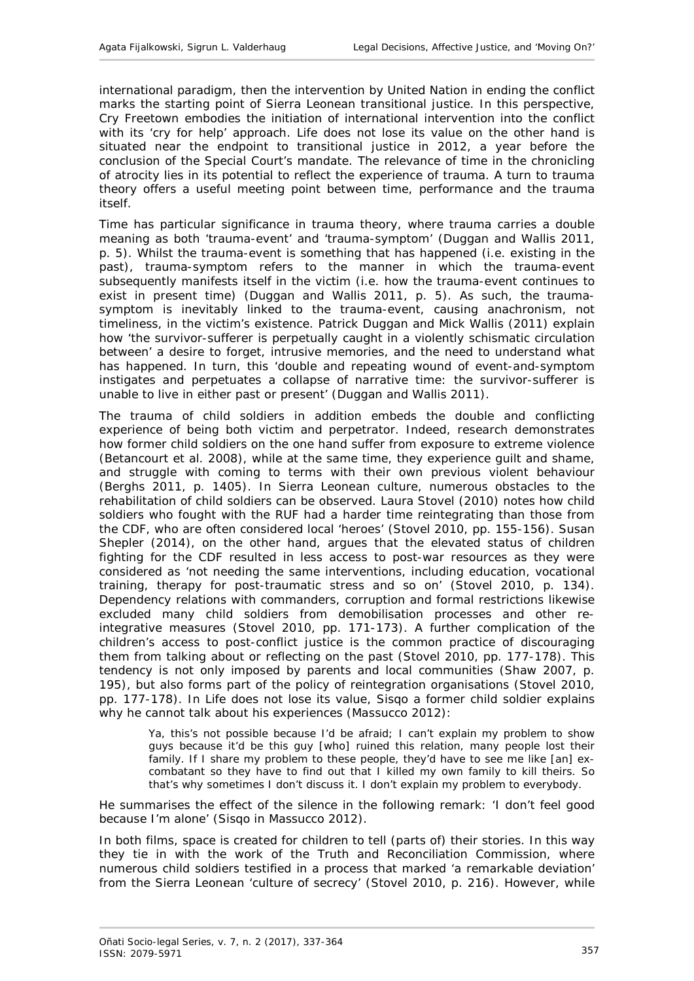international paradigm, then the intervention by United Nation in ending the conflict marks the starting point of Sierra Leonean transitional justice. In this perspective, *Cry Freetown* embodies the initiation of international intervention into the conflict with its 'cry for help' approach. *Life does not lose its value* on the other hand is situated near the endpoint to transitional justice in 2012, a year before the conclusion of the Special Court's mandate. The relevance of time in the chronicling of atrocity lies in its potential to reflect the experience of trauma. A turn to trauma theory offers a useful meeting point between time, performance and the trauma itself.

Time has particular significance in trauma theory, where trauma carries a double meaning as both 'trauma-event' and 'trauma-symptom' (Duggan and Wallis 2011, p. 5). Whilst the trauma-event is something that *has* happened (i.e. existing in the past), trauma-symptom refers to the manner in which the trauma-event subsequently manifests itself in the victim (i.e. how the trauma-event continues to exist in present time) (Duggan and Wallis 2011, p. 5). As such, the traumasymptom is inevitably linked to the trauma-event, causing anachronism, *not* timeliness, in the victim's existence. Patrick Duggan and Mick Wallis (2011) explain how 'the survivor-sufferer is perpetually caught in a violently schismatic circulation between' a desire to forget, intrusive memories, and the need to understand what has happened. In turn, this 'double and repeating wound of event-and-symptom instigates and perpetuates a collapse of narrative time: the survivor-sufferer is unable to live in either past or present' (Duggan and Wallis 2011).

The trauma of child soldiers in addition embeds the double and conflicting experience of being both victim and perpetrator. Indeed, research demonstrates how former child soldiers on the one hand suffer from exposure to extreme violence (Betancourt *et al*. 2008), while at the same time, they experience guilt and shame, and struggle with coming to terms with their own previous violent behaviour (Berghs 2011, p. 1405). In Sierra Leonean culture, numerous obstacles to the rehabilitation of child soldiers can be observed. Laura Stovel (2010) notes how child soldiers who fought with the RUF had a harder time reintegrating than those from the CDF, who are often considered local 'heroes' (Stovel 2010, pp. 155-156). Susan Shepler (2014), on the other hand, argues that the elevated status of children fighting for the CDF resulted in less access to post-war resources as they were considered as 'not needing the same interventions, including education, vocational training, therapy for post-traumatic stress and so on' (Stovel 2010, p. 134). Dependency relations with commanders, corruption and formal restrictions likewise excluded many child soldiers from demobilisation processes and other reintegrative measures (Stovel 2010, pp. 171-173). A further complication of the children's access to post-conflict justice is the common practice of discouraging them from talking about or reflecting on the past (Stovel 2010, pp. 177-178). This tendency is not only imposed by parents and local communities (Shaw 2007, p. 195), but also forms part of the policy of reintegration organisations (Stovel 2010, pp. 177-178). In *Life does not lose its value*, Sisqo a former child soldier explains why he cannot talk about his experiences (Massucco 2012):

Ya, this's not possible because I'd be afraid; I can't explain my problem to show guys because it'd be this guy [who] ruined this relation, many people lost their family. If I share my problem to these people, they'd have to see me like [an] excombatant so they have to find out that I killed my own family to kill theirs. So that's why sometimes I don't discuss it. I don't explain my problem to everybody.

He summarises the effect of the silence in the following remark: 'I don't feel good because I'm alone' (Sisqo in Massucco 2012).

In both films, space is created for children to tell (parts of) their stories. In this way they tie in with the work of the Truth and Reconciliation Commission, where numerous child soldiers testified in a process that marked 'a remarkable deviation' from the Sierra Leonean 'culture of secrecy' (Stovel 2010, p. 216). However, while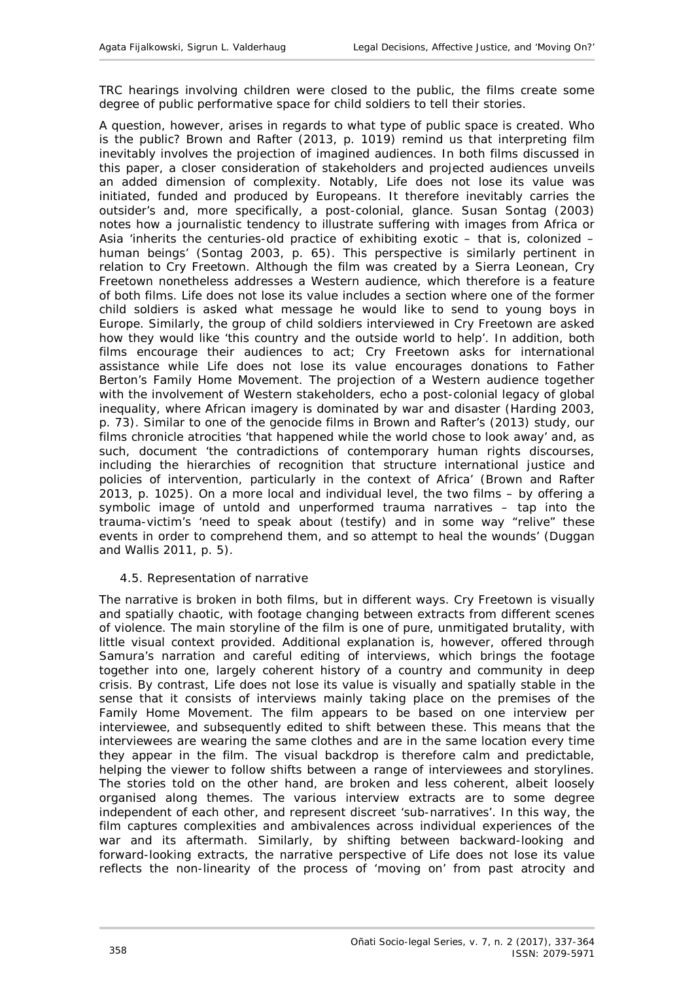TRC hearings involving children were closed to the public, the films create some degree of public performative space for child soldiers to tell their stories.

A question, however, arises in regards to what type of public space is created. *Who* is the public? Brown and Rafter (2013, p. 1019) remind us that interpreting film inevitably involves the projection of imagined audiences. In both films discussed in this paper, a closer consideration of stakeholders and projected audiences unveils an added dimension of complexity. Notably, *Life does not lose its value* was initiated, funded and produced by Europeans. It therefore inevitably carries the outsider's and, more specifically, a post-colonial, glance. Susan Sontag (2003) notes how a journalistic tendency to illustrate suffering with images from Africa or Asia 'inherits the centuries-old practice of exhibiting exotic  $-$  that is, colonized  $$ human beings' (Sontag 2003, p. 65). This perspective is similarly pertinent in relation to *Cry Freetown*. Although the film was created by a Sierra Leonean, *Cry Freetown* nonetheless addresses a Western audience, which therefore is a feature of both films. *Life does not lose its value* includes a section where one of the former child soldiers is asked what message he would like to send to young boys in Europe. Similarly, the group of child soldiers interviewed in *Cry Freetown* are asked how they would like 'this country and the outside world to help'. In addition, both films encourage their audiences to act; *Cry Freetown* asks for international assistance while *Life does not lose its value* encourages donations to Father Berton's Family Home Movement. The projection of a Western audience together with the involvement of Western stakeholders, echo a post-colonial legacy of global inequality, where African imagery is dominated by war and disaster (Harding 2003, p. 73). Similar to one of the genocide films in Brown and Rafter's (2013) study, our films chronicle atrocities 'that happened while the world chose to look away' and, as such, document 'the contradictions of contemporary human rights discourses, including the hierarchies of recognition that structure international justice and policies of intervention, particularly in the context of Africa' (Brown and Rafter 2013, p. 1025). On a more local and individual level, the two films – by offering a symbolic image of untold and unperformed trauma narratives – tap into the trauma-victim's 'need to speak about (testify) and in some way "relive" these events in order to comprehend them, and so attempt to heal the wounds' (Duggan and Wallis 2011, p. 5).

# <span id="page-21-0"></span>*4.5. Representation of narrative*

The narrative is broken in both films, but in different ways. *Cry Freetown* is visually and spatially chaotic, with footage changing between extracts from different scenes of violence. The main storyline of the film is one of pure, unmitigated brutality, with little visual context provided. Additional explanation is, however, offered through Samura's narration and careful editing of interviews, which brings the footage together into one, largely coherent history of a country and community in deep crisis. By contrast, *Life does not lose its value* is visually and spatially stable in the sense that it consists of interviews mainly taking place on the premises of the Family Home Movement. The film appears to be based on one interview per interviewee, and subsequently edited to shift between these. This means that the interviewees are wearing the same clothes and are in the same location every time they appear in the film. The visual backdrop is therefore calm and predictable, helping the viewer to follow shifts between a range of interviewees and storylines. The stories told on the other hand, are broken and less coherent, albeit loosely organised along themes. The various interview extracts are to some degree independent of each other, and represent discreet 'sub-narratives'. In this way, the film captures complexities and ambivalences across individual experiences of the war and its aftermath. Similarly, by shifting between backward-looking and forward-looking extracts, the narrative perspective of *Life does not lose its value*  reflects the non-linearity of the process of 'moving on' from past atrocity and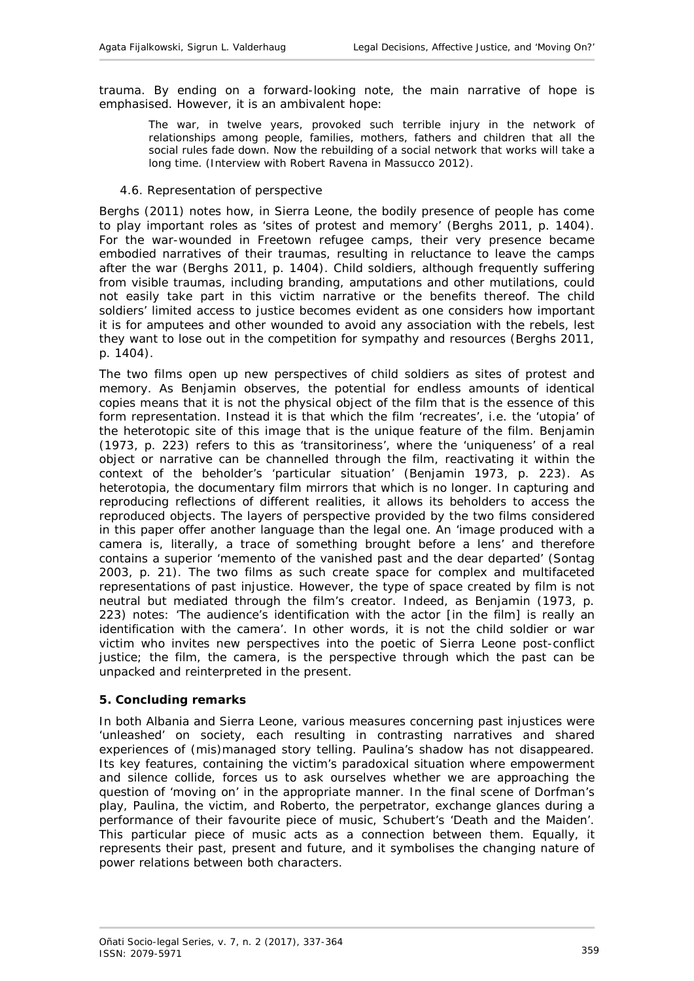trauma. By ending on a forward-looking note, the main narrative of hope is emphasised. However, it is an ambivalent hope:

The war, in twelve years, provoked such terrible injury in the network of relationships among people, families, mothers, fathers and children that all the social rules fade down. Now the rebuilding of a social network that works will take a long time. (Interview with Robert Ravena in Massucco 2012).

#### <span id="page-22-0"></span>*4.6. Representation of perspective*

Berghs (2011) notes how, in Sierra Leone, the bodily presence of people has come to play important roles as 'sites of protest and memory' (Berghs 2011, p. 1404). For the war-wounded in Freetown refugee camps, their very presence became embodied narratives of their traumas, resulting in reluctance to leave the camps after the war (Berghs 2011, p. 1404). Child soldiers, although frequently suffering from visible traumas, including branding, amputations and other mutilations, could not easily take part in this victim narrative or the benefits thereof. The child soldiers' limited access to justice becomes evident as one considers how important it is for amputees and other wounded to avoid any association with the rebels, lest they want to lose out in the competition for sympathy and resources (Berghs 2011, p. 1404).

The two films open up new perspectives of child soldiers as sites of protest and memory. As Benjamin observes, the potential for endless amounts of identical copies means that it is not the physical object of the film that is the essence of this form representation. Instead it is that which the film 'recreates', i.e. the 'utopia' of the heterotopic site of this image that is the unique feature of the film. Benjamin (1973, p. 223) refers to this as 'transitoriness', where the 'uniqueness' of a real object or narrative can be channelled through the film, reactivating it within the context of the beholder's 'particular situation' (Benjamin 1973, p. 223). As heterotopia, the documentary film mirrors that which *is* no longer. In capturing and reproducing reflections of different realities, it allows its beholders to access the reproduced objects. The layers of perspective provided by the two films considered in this paper offer another language than the legal one. An 'image produced with a camera is, literally, a trace of something brought before a lens' and therefore contains a superior 'memento of the vanished past and the dear departed' (Sontag 2003, p. 21). The two films as such create space for complex and multifaceted representations of past injustice. However, the type of space created by film is not neutral but mediated through the film's creator. Indeed, as Benjamin (1973, p. 223) notes: 'The audience's identification with the actor [in the film] is really an identification with the camera'. In other words, it is not the child soldier or war victim who invites new perspectives into the poetic of Sierra Leone post-conflict justice; the film, the camera, *is* the perspective through which the past can be unpacked and reinterpreted in the present.

#### <span id="page-22-1"></span>**5. Concluding remarks**

In both Albania and Sierra Leone, various measures concerning past injustices were 'unleashed' on society, each resulting in contrasting narratives and shared experiences of (mis)managed story telling. Paulina's shadow has not disappeared. Its key features, containing the victim's paradoxical situation where empowerment and silence collide, forces us to ask ourselves whether we are approaching the question of 'moving on' in the appropriate manner. In the final scene of Dorfman's play, Paulina, the victim, and Roberto, the perpetrator, exchange glances during a performance of their favourite piece of music, Schubert's 'Death and the Maiden'. This particular piece of music acts as a connection between them. Equally, it represents their past, present and future, and it symbolises the changing nature of power relations between both characters.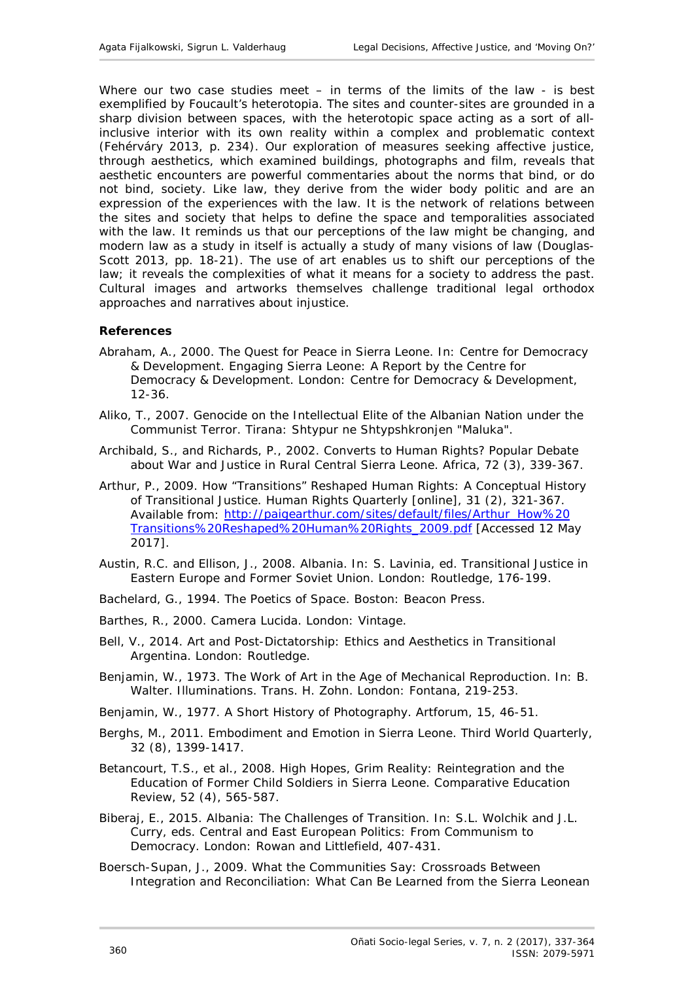Where our two case studies meet  $-$  in terms of the limits of the law - is best exemplified by Foucault's heterotopia. The sites and counter-sites are grounded in a sharp division between spaces, with the heterotopic space acting as a sort of allinclusive interior with its own reality within a complex and problematic context (Fehérváry 2013, p. 234). Our exploration of measures seeking affective justice, through aesthetics, which examined buildings, photographs and film, reveals that aesthetic encounters are powerful commentaries about the norms that bind, or do not bind, society. Like law, they derive from the wider body politic and are an expression of the experiences with the law. It is the network of relations between the sites and society that helps to define the space and temporalities associated with the law. It reminds us that our perceptions of the law might be changing, and modern law as a study in itself is actually a study of many visions of law (Douglas-Scott 2013, pp. 18-21). The use of art enables us to shift our perceptions of the law; it reveals the complexities of what it means for a society to address the past. Cultural images and artworks themselves challenge traditional legal orthodox approaches and narratives about injustice.

## <span id="page-23-0"></span>**References**

- Abraham, A., 2000. The Quest for Peace in Sierra Leone. *In*: Centre for Democracy & Development. *Engaging Sierra Leone: A Report by the Centre for Democracy & Development.* London: Centre for Democracy & Development, 12-36.
- Aliko, T., 2007. *Genocide on the Intellectual Elite of the Albanian Nation under the Communist Terror.* Tirana: Shtypur ne Shtypshkronjen "Maluka".
- Archibald, S., and Richards, P., 2002. Converts to Human Rights? Popular Debate about War and Justice in Rural Central Sierra Leone. *Africa,* 72 (3), 339-367.
- Arthur, P., 2009. How "Transitions" Reshaped Human Rights: A Conceptual History of Transitional Justice. *Human Rights Quarterly* [online]*,* 31 (2), 321-367. Available from: [http://paigearthur.com/sites/default/files/Arthur\\_How%20](http://paigearthur.com/sites/default/files/Arthur_How%20Transitions%20Reshaped%20Human%20Rights_2009.pdf) [Transitions%20Reshaped%20Human%20Rights\\_2009.pdf](http://paigearthur.com/sites/default/files/Arthur_How%20Transitions%20Reshaped%20Human%20Rights_2009.pdf) [Accessed 12 May 2017].
- Austin, R.C. and Ellison, J., 2008. Albania. *In:* S. Lavinia, ed. *Transitional Justice in Eastern Europe and Former Soviet Union.* London: Routledge, 176-199.
- Bachelard, G., 1994. *The Poetics of Space.* Boston: Beacon Press.
- Barthes, R., 2000. *Camera Lucida.* London: Vintage.
- Bell, V., 2014. *Art and Post-Dictatorship: Ethics and Aesthetics in Transitional Argentina*. London: Routledge.
- Benjamin, W., 1973. The Work of Art in the Age of Mechanical Reproduction. *In:* B. Walter. *Illuminations.* Trans. H. Zohn. London: Fontana, 219-253.
- Benjamin, W., 1977. A Short History of Photography. *Artforum*, 15, 46-51.
- Berghs, M., 2011. Embodiment and Emotion in Sierra Leone. *Third World Quarterly*, 32 (8), 1399-1417.
- Betancourt, T.S., *et al*., 2008. High Hopes, Grim Reality: Reintegration and the Education of Former Child Soldiers in Sierra Leone. *Comparative Education Review,* 52 (4), 565-587.
- Biberaj, E., 2015. Albania: The Challenges of Transition. *In:* S.L. Wolchik and J.L. Curry, eds. *Central and East European Politics: From Communism to Democracy*. London: Rowan and Littlefield, 407-431.
- Boersch-Supan, J., 2009. *What the Communities Say: Crossroads Between Integration and Reconciliation: What Can Be Learned from the Sierra Leonean*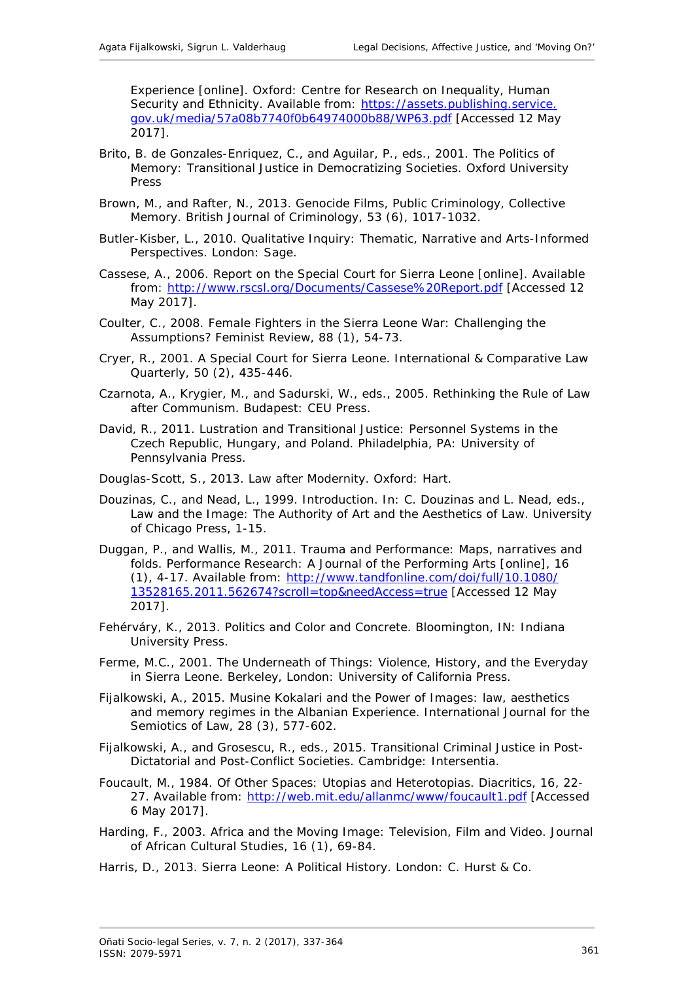*Experience* [online]. Oxford: Centre for Research on Inequality, Human Security and Ethnicity. Available from: [https://assets.publishing.service.](https://assets.publishing.service.gov.uk/media/57a08b7740f0b64974000b88/WP63.pdf) [gov.uk/media/57a08b7740f0b64974000b88/WP63.pdf](https://assets.publishing.service.gov.uk/media/57a08b7740f0b64974000b88/WP63.pdf) [Accessed 12 May 2017].

- Brito, B. de Gonzales-Enriquez, C., and Aguilar, P., eds., 2001. *The Politics of Memory: Transitional Justice in Democratizing Societies*. Oxford University Press
- Brown, M., and Rafter, N., 2013. Genocide Films, Public Criminology, Collective Memory. *British Journal of Criminology*, 53 (6), 1017-1032.
- Butler-Kisber, L., 2010. *Qualitative Inquiry: Thematic, Narrative and Arts-Informed Perspectives*. London: Sage.
- Cassese, A., 2006. *Report on the Special Court for Sierra Leone* [online]. Available from:<http://www.rscsl.org/Documents/Cassese%20Report.pdf> [Accessed 12 May 2017].
- Coulter, C., 2008. Female Fighters in the Sierra Leone War: Challenging the Assumptions? *Feminist Review*, 88 (1), 54-73.
- Cryer, R., 2001. A Special Court for Sierra Leone. *International & Comparative Law Quarterly*, 50 (2), 435-446.
- Czarnota, A., Krygier, M., and Sadurski, W., eds., 2005. *Rethinking the Rule of Law after Communism.* Budapest: CEU Press.
- David, R., 2011. *Lustration and Transitional Justice: Personnel Systems in the Czech Republic, Hungary, and Poland.* Philadelphia, PA: University of Pennsylvania Press.
- Douglas-Scott, S., 2013. *Law after Modernity*. Oxford: Hart.
- Douzinas, C., and Nead, L., 1999. Introduction. *In*: C. Douzinas and L. Nead, eds., *Law and the Image: The Authority of Art and the Aesthetics of Law*. University of Chicago Press, 1-15.
- Duggan, P., and Wallis, M., 2011. Trauma and Performance: Maps, narratives and folds. *Performance Research: A Journal of the Performing Arts* [online], 16 (1), 4-17. Available from: [http://www.tandfonline.com/doi/full/10.1080/](http://www.tandfonline.com/doi/full/10.1080/13528165.2011.562674?scroll=top&needAccess=true) [13528165.2011.562674?scroll=top&needAccess=true](http://www.tandfonline.com/doi/full/10.1080/13528165.2011.562674?scroll=top&needAccess=true) [Accessed 12 May 2017].
- Fehérváry, K., 2013. *Politics and Color and Concrete.* Bloomington, IN: Indiana University Press.
- Ferme, M.C., 2001. *The Underneath of Things: Violence, History, and the Everyday in Sierra Leone*. Berkeley, London: University of California Press.
- Fijalkowski, A., 2015. Musine Kokalari and the Power of Images: law, aesthetics and memory regimes in the Albanian Experience. *International Journal for the Semiotics of Law*, 28 (3), 577-602.
- Fijalkowski, A., and Grosescu, R., eds., 2015. *Transitional Criminal Justice in Post-Dictatorial and Post-Conflict Societies*. Cambridge: Intersentia.
- Foucault, M., 1984. Of Other Spaces: Utopias and Heterotopias. *Diacritics*, 16, 22- 27. Available from: <http://web.mit.edu/allanmc/www/foucault1.pdf> [Accessed 6 May 2017].
- Harding, F., 2003. Africa and the Moving Image: Television, Film and Video. *Journal of African Cultural Studies*, 16 (1), 69-84.
- Harris, D., 2013. *Sierra Leone: A Political History.* London: C. Hurst & Co.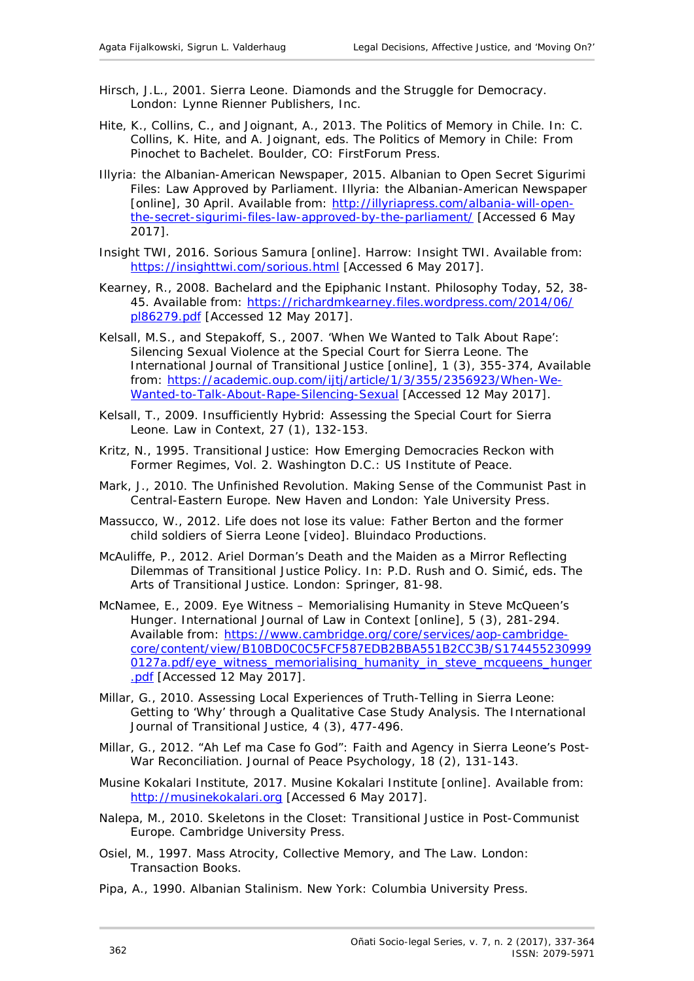- Hirsch, J.L., 2001. *Sierra Leone. Diamonds and the Struggle for Democracy*. London: Lynne Rienner Publishers, Inc.
- Hite, K., Collins, C., and Joignant, A., 2013. The Politics of Memory in Chile. *In*: C. Collins, K. Hite, and A. Joignant, eds. *The Politics of Memory in Chile: From Pinochet to Bachelet*. Boulder, CO: FirstForum Press.
- Illyria: the Albanian-American Newspaper, 2015. Albanian to Open Secret *Sigurimi* Files: Law Approved by Parliament. *Illyria: the Albanian-American Newspaper* [online], 30 April. Available from: [http://illyriapress.com/albania-will-open](http://illyriapress.com/albania-will-open-the-secret-sigurimi-files-law-approved-by-the-parliament/)[the-secret-sigurimi-files-law-approved-by-the-parliament/](http://illyriapress.com/albania-will-open-the-secret-sigurimi-files-law-approved-by-the-parliament/) [Accessed 6 May 2017].
- Insight TWI, 2016. *Sorious Samura* [online]. Harrow: Insight TWI. Available from: <https://insighttwi.com/sorious.html> [Accessed 6 May 2017].
- Kearney, R., 2008. Bachelard and the Epiphanic Instant. *Philosophy Today*, 52, 38 45. Available from: [https://richardmkearney.files.wordpress.com/2014/06/](https://richardmkearney.files.wordpress.com/2014/06/pl86279.pdf) [pl86279.pdf](https://richardmkearney.files.wordpress.com/2014/06/pl86279.pdf) [Accessed 12 May 2017].
- Kelsall, M.S., and Stepakoff, S., 2007. ['When We Wanted to Talk About Rape':](https://academic.oup.com/ijtj/article/1/3/355/2356923/When-We-Wanted-to-Talk-About-Rape-Silencing-Sexual)  [Silencing Sexual Violence at the Special Court for Sierra Leone.](https://academic.oup.com/ijtj/article/1/3/355/2356923/When-We-Wanted-to-Talk-About-Rape-Silencing-Sexual) *The International Journal of Transitional Justice* [online], 1 (3), 355-374, Available from: [https://academic.oup.com/ijtj/article/1/3/355/2356923/When-We-](https://academic.oup.com/ijtj/article/1/3/355/2356923/When-We-Wanted-to-Talk-About-Rape-Silencing-Sexual)[Wanted-to-Talk-About-Rape-Silencing-Sexual](https://academic.oup.com/ijtj/article/1/3/355/2356923/When-We-Wanted-to-Talk-About-Rape-Silencing-Sexual) [Accessed 12 May 2017].
- Kelsall, T., 2009. Insufficiently Hybrid: Assessing the Special Court for Sierra Leone. *Law in Context*, 27 (1), 132-153.
- Kritz, N., 1995. *Transitional Justice: How Emerging Democracies Reckon with Former Regimes, Vol. 2*. Washington D.C.: US Institute of Peace.
- Mark, J., 2010. *The Unfinished Revolution. Making Sense of the Communist Past in Central-Eastern Europe*. New Haven and London: Yale University Press.
- Massucco, W., 2012. *Life does not lose its value: Father Berton and the former child soldiers of Sierra Leone* [video]. Bluindaco Productions.
- McAuliffe, P., 2012. Ariel Dorman's *Death and the Maiden* as a Mirror Reflecting Dilemmas of Transitional Justice Policy. *In*: P.D. Rush and O. Simić, eds. *The Arts of Transitional Justice.* London: Springer, 81-98.
- McNamee, E., 2009. Eye Witness Memorialising Humanity in Steve McQueen's Hunger. *International Journal of Law in Context* [online], 5 (3), 281-294. Available from: [https://www.cambridge.org/core/services/aop-cambridge](https://www.cambridge.org/core/services/aop-cambridge-core/content/view/B10BD0C0C5FCF587EDB2BBA551B2CC3B/S1744552309990127a.pdf/eye_witness_memorialising_humanity_in_steve_mcqueens_hunger.pdf)[core/content/view/B10BD0C0C5FCF587EDB2BBA551B2CC3B/S174455230999](https://www.cambridge.org/core/services/aop-cambridge-core/content/view/B10BD0C0C5FCF587EDB2BBA551B2CC3B/S1744552309990127a.pdf/eye_witness_memorialising_humanity_in_steve_mcqueens_hunger.pdf) [0127a.pdf/eye\\_witness\\_memorialising\\_humanity\\_in\\_steve\\_mcqueens\\_hunger](https://www.cambridge.org/core/services/aop-cambridge-core/content/view/B10BD0C0C5FCF587EDB2BBA551B2CC3B/S1744552309990127a.pdf/eye_witness_memorialising_humanity_in_steve_mcqueens_hunger.pdf) [.pdf](https://www.cambridge.org/core/services/aop-cambridge-core/content/view/B10BD0C0C5FCF587EDB2BBA551B2CC3B/S1744552309990127a.pdf/eye_witness_memorialising_humanity_in_steve_mcqueens_hunger.pdf) [Accessed 12 May 2017].
- Millar, G., 2010. Assessing Local Experiences of Truth-Telling in Sierra Leone: Getting to 'Why' through a Qualitative Case Study Analysis. *The International Journal of Transitional Justice*, 4 (3), 477-496.
- Millar, G., 2012. "Ah Lef ma Case fo God": Faith and Agency in Sierra Leone's Post-War Reconciliation. *Journal of Peace Psychology*, 18 (2), 131-143.
- Musine Kokalari Institute*,* 2017. *Musine Kokalari Institute* [online]. Available from: [http://musinekokalari.org](http://musinekokalari.org/) [Accessed 6 May 2017].
- Nalepa, M., 2010. *Skeletons in the Closet: Transitional Justice in Post-Communist Europe.* Cambridge University Press.
- Osiel, M., 1997. *Mass Atrocity, Collective Memory, and The Law*. London: Transaction Books.
- Pipa, A., 1990. *Albanian Stalinism*. New York: Columbia University Press.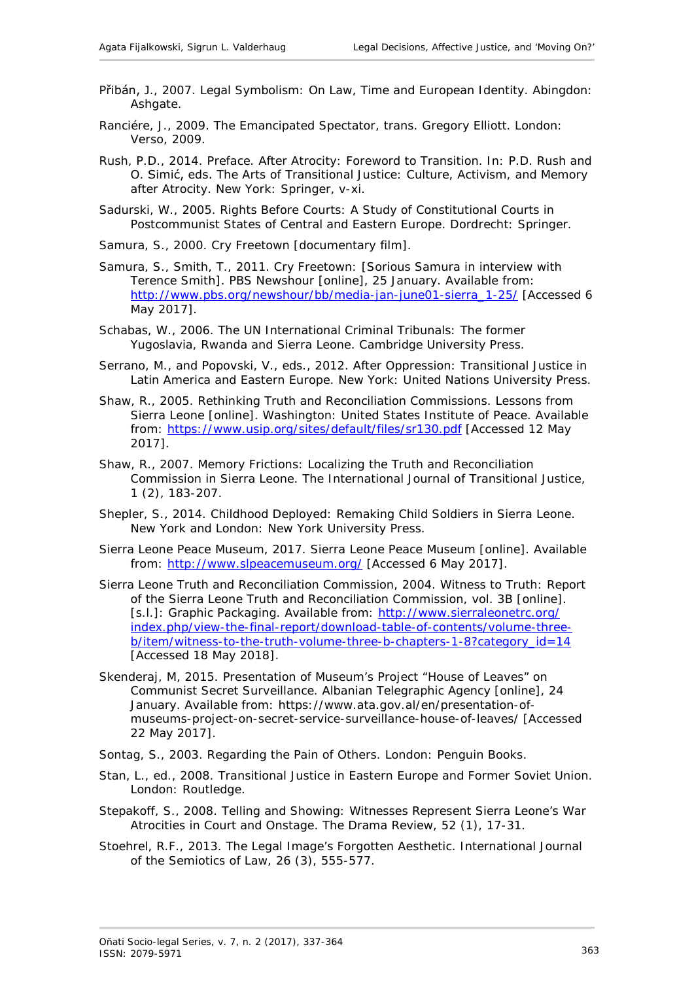- Přibán, J., 2007. *Legal Symbolism: On Law, Time and European Identity*. Abingdon: Ashgate.
- Ranciére, J., 2009. *The Emancipated Spectator, trans. Gregory Elliott.* London: Verso, 2009.
- Rush, P.D., 2014. Preface. After Atrocity: Foreword to Transition. *In*: P.D. Rush and O. Simić, eds. *The Arts of Transitional Justice: Culture, Activism, and Memory after Atrocity*. New York: Springer, v-xi.
- Sadurski, W., 2005. *Rights Before Courts: A Study of Constitutional Courts in Postcommunist States of Central and Eastern Europe*. Dordrecht: Springer.
- Samura, S., 2000. *Cry Freetown* [documentary film].
- Samura, S., Smith, T., 2011. Cry Freetown: [Sorious Samura in interview with Terence Smith]. *PBS Newshour* [online], 25 January. Available from: [http://www.pbs.org/newshour/bb/media-jan-june01-sierra\\_1-25/](http://www.pbs.org/newshour/bb/media-jan-june01-sierra_1-25/) [Accessed 6] May 2017].
- Schabas, W., 2006. *The UN International Criminal Tribunals: The former Yugoslavia, Rwanda and Sierra Leone*. Cambridge University Press.
- Serrano, M., and Popovski, V., eds., 2012. *After Oppression: Transitional Justice in Latin America and Eastern Europe*. New York: United Nations University Press.
- Shaw, R., 2005. *Rethinking Truth and Reconciliation Commissions. Lessons from Sierra Leone* [online]. Washington: United States Institute of Peace. Available from:<https://www.usip.org/sites/default/files/sr130.pdf> [Accessed 12 May 2017].
- Shaw, R., 2007. Memory Frictions: Localizing the Truth and Reconciliation Commission in Sierra Leone. *The International Journal of Transitional Justice*, 1 (2), 183-207.
- Shepler, S., 2014. *Childhood Deployed: Remaking Child Soldiers in Sierra Leone.*  New York and London: New York University Press.
- Sierra Leone Peace Museum, 2017. *Sierra Leone Peace Museum* [online]. Available from: <http://www.slpeacemuseum.org/> [Accessed 6 May 2017].
- Sierra Leone Truth and Reconciliation Commission, 2004. *Witness to Truth: Report of the Sierra Leone Truth and Reconciliation Commission, vol. 3B* [online]. [s.l.]: Graphic Packaging. Available from: [http://www.sierraleonetrc.org/](http://www.sierraleonetrc.org/index.php/view-the-final-report/download-table-of-contents/volume-three-b/item/witness-to-the-truth-volume-three-b-chapters-1-8?category_id=14) [index.php/view-the-final-report/download-table-of-contents/volume-three](http://www.sierraleonetrc.org/index.php/view-the-final-report/download-table-of-contents/volume-three-b/item/witness-to-the-truth-volume-three-b-chapters-1-8?category_id=14)[b/item/witness-to-the-truth-volume-three-b-chapters-1-8?category\\_id=14](http://www.sierraleonetrc.org/index.php/view-the-final-report/download-table-of-contents/volume-three-b/item/witness-to-the-truth-volume-three-b-chapters-1-8?category_id=14) [Accessed 18 May 2018].
- Skenderaj, M, 2015. Presentation of Museum's Project "House of Leaves" on Communist Secret Surveillance. *Albanian Telegraphic Agency* [online], 24 January. Available from: https://www.ata.gov.al/en/presentation-ofmuseums-project-on-secret-service-surveillance-house-of-leaves/ [Accessed 22 May 2017].
- Sontag, S., 2003. *Regarding the Pain of Others*. London: Penguin Books.
- Stan, L., ed., 2008. *Transitional Justice in Eastern Europe and Former Soviet Union.* London: Routledge.
- Stepakoff, S., 2008. Telling and Showing: Witnesses Represent Sierra Leone's War Atrocities in Court and Onstage. *The Drama Review*, 52 (1), 17-31.
- Stoehrel, R.F., 2013. The Legal Image's Forgotten Aesthetic. *International Journal of the Semiotics of Law*, 26 (3), 555-577.